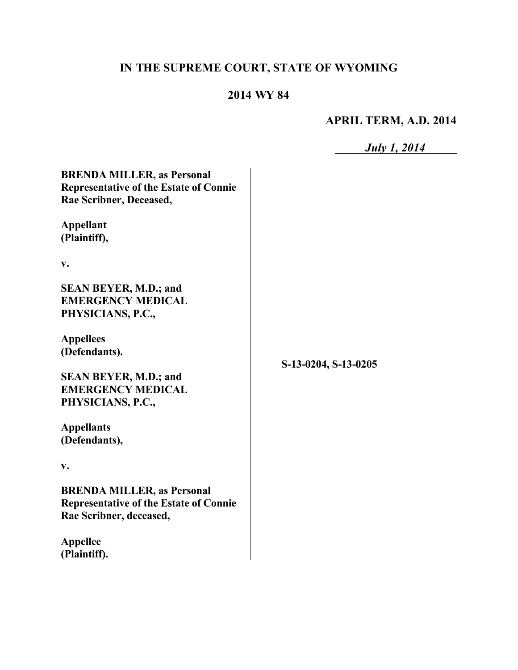# **IN THE SUPREME COURT, STATE OF WYOMING**

# **2014 WY 84**

### **APRIL TERM, A.D. 2014**

*July 1, 2014*

**BRENDA MILLER, as Personal Representative of the Estate of Connie Rae Scribner, Deceased,**

**Appellant (Plaintiff),**

**v.**

**SEAN BEYER, M.D.; and EMERGENCY MEDICAL PHYSICIANS, P.C.,**

**Appellees (Defendants).**

**SEAN BEYER, M.D.; and EMERGENCY MEDICAL PHYSICIANS, P.C.,**

**Appellants (Defendants),**

**v.**

**BRENDA MILLER, as Personal Representative of the Estate of Connie Rae Scribner, deceased,**

**Appellee (Plaintiff).** **S-13-0204, S-13-0205**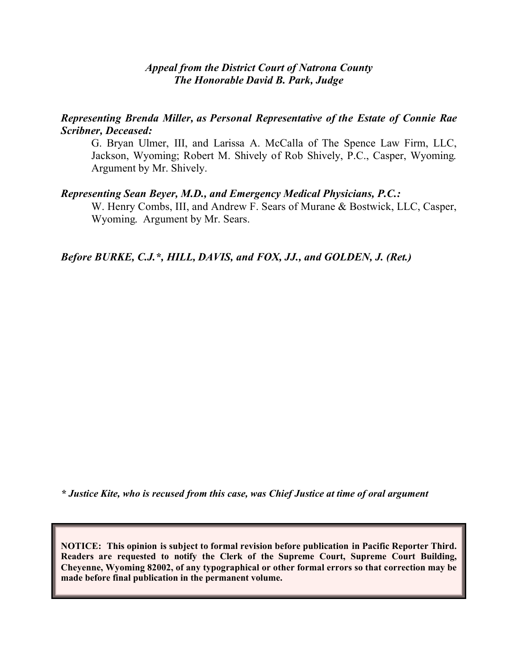#### *Appeal from the District Court of Natrona County The Honorable David B. Park, Judge*

*Representing Brenda Miller, as Personal Representative of the Estate of Connie Rae Scribner, Deceased:*

G. Bryan Ulmer, III, and Larissa A. McCalla of The Spence Law Firm, LLC, Jackson, Wyoming; Robert M. Shively of Rob Shively, P.C., Casper, Wyoming. Argument by Mr. Shively.

#### *Representing Sean Beyer, M.D., and Emergency Medical Physicians, P.C.:*

W. Henry Combs, III, and Andrew F. Sears of Murane & Bostwick, LLC, Casper, Wyoming. Argument by Mr. Sears.

*Before BURKE, C.J.\*, HILL, DAVIS, and FOX, JJ., and GOLDEN, J. (Ret.)*

*\* Justice Kite, who is recused from this case, was Chief Justice at time of oral argument*

**NOTICE: This opinion is subject to formal revision before publication in Pacific Reporter Third. Readers are requested to notify the Clerk of the Supreme Court, Supreme Court Building, Cheyenne, Wyoming 82002, of any typographical or other formal errors so that correction may be made before final publication in the permanent volume.**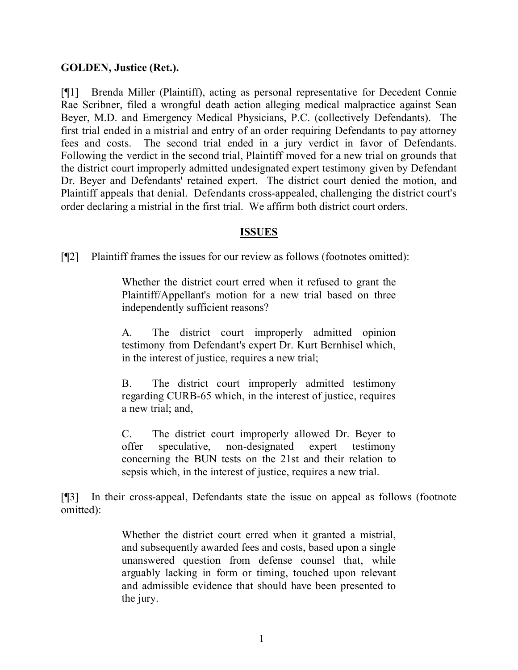### **GOLDEN, Justice (Ret.).**

[¶1] Brenda Miller (Plaintiff), acting as personal representative for Decedent Connie Rae Scribner, filed a wrongful death action alleging medical malpractice against Sean Beyer, M.D. and Emergency Medical Physicians, P.C. (collectively Defendants). The first trial ended in a mistrial and entry of an order requiring Defendants to pay attorney fees and costs. The second trial ended in a jury verdict in favor of Defendants. Following the verdict in the second trial, Plaintiff moved for a new trial on grounds that the district court improperly admitted undesignated expert testimony given by Defendant Dr. Beyer and Defendants' retained expert. The district court denied the motion, and Plaintiff appeals that denial. Defendants cross-appealed, challenging the district court's order declaring a mistrial in the first trial. We affirm both district court orders.

### **ISSUES**

[¶2] Plaintiff frames the issues for our review as follows (footnotes omitted):

Whether the district court erred when it refused to grant the Plaintiff/Appellant's motion for a new trial based on three independently sufficient reasons?

A. The district court improperly admitted opinion testimony from Defendant's expert Dr. Kurt Bernhisel which, in the interest of justice, requires a new trial;

B. The district court improperly admitted testimony regarding CURB-65 which, in the interest of justice, requires a new trial; and,

C. The district court improperly allowed Dr. Beyer to offer speculative, non-designated expert testimony concerning the BUN tests on the 21st and their relation to sepsis which, in the interest of justice, requires a new trial.

[¶3] In their cross-appeal, Defendants state the issue on appeal as follows (footnote omitted):

> Whether the district court erred when it granted a mistrial, and subsequently awarded fees and costs, based upon a single unanswered question from defense counsel that, while arguably lacking in form or timing, touched upon relevant and admissible evidence that should have been presented to the jury.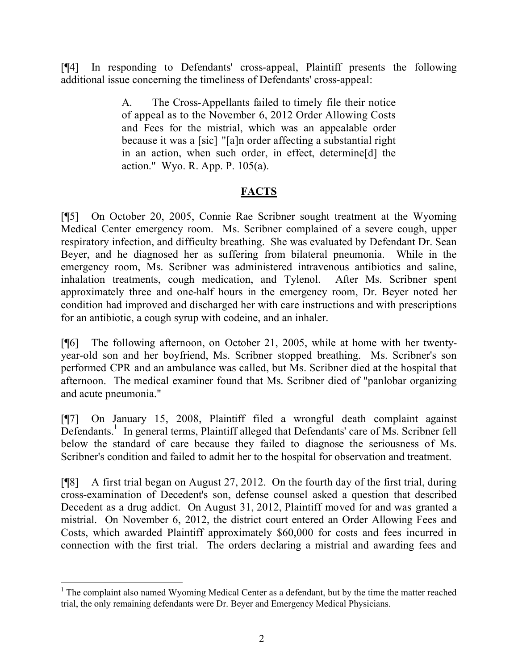[¶4] In responding to Defendants' cross-appeal, Plaintiff presents the following additional issue concerning the timeliness of Defendants' cross-appeal:

> A. The Cross-Appellants failed to timely file their notice of appeal as to the November 6, 2012 Order Allowing Costs and Fees for the mistrial, which was an appealable order because it was a [sic] "[a]n order affecting a substantial right in an action, when such order, in effect, determine[d] the action." Wyo. R. App. P. 105(a).

# **FACTS**

[¶5] On October 20, 2005, Connie Rae Scribner sought treatment at the Wyoming Medical Center emergency room. Ms. Scribner complained of a severe cough, upper respiratory infection, and difficulty breathing. She was evaluated by Defendant Dr. Sean Beyer, and he diagnosed her as suffering from bilateral pneumonia. While in the emergency room, Ms. Scribner was administered intravenous antibiotics and saline, inhalation treatments, cough medication, and Tylenol. After Ms. Scribner spent approximately three and one-half hours in the emergency room, Dr. Beyer noted her condition had improved and discharged her with care instructions and with prescriptions for an antibiotic, a cough syrup with codeine, and an inhaler.

[¶6] The following afternoon, on October 21, 2005, while at home with her twentyyear-old son and her boyfriend, Ms. Scribner stopped breathing. Ms. Scribner's son performed CPR and an ambulance was called, but Ms. Scribner died at the hospital that afternoon. The medical examiner found that Ms. Scribner died of "panlobar organizing and acute pneumonia."

[¶7] On January 15, 2008, Plaintiff filed a wrongful death complaint against Defendants.<sup>1</sup> In general terms, Plaintiff alleged that Defendants' care of Ms. Scribner fell below the standard of care because they failed to diagnose the seriousness of Ms. Scribner's condition and failed to admit her to the hospital for observation and treatment.

[¶8] A first trial began on August 27, 2012. On the fourth day of the first trial, during cross-examination of Decedent's son, defense counsel asked a question that described Decedent as a drug addict. On August 31, 2012, Plaintiff moved for and was granted a mistrial. On November 6, 2012, the district court entered an Order Allowing Fees and Costs, which awarded Plaintiff approximately \$60,000 for costs and fees incurred in connection with the first trial. The orders declaring a mistrial and awarding fees and

  $<sup>1</sup>$  The complaint also named Wyoming Medical Center as a defendant, but by the time the matter reached</sup> trial, the only remaining defendants were Dr. Beyer and Emergency Medical Physicians.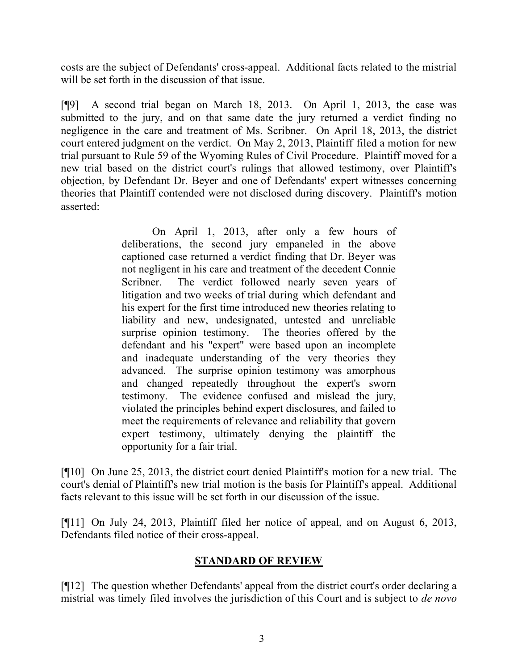costs are the subject of Defendants' cross-appeal. Additional facts related to the mistrial will be set forth in the discussion of that issue.

[¶9] A second trial began on March 18, 2013. On April 1, 2013, the case was submitted to the jury, and on that same date the jury returned a verdict finding no negligence in the care and treatment of Ms. Scribner. On April 18, 2013, the district court entered judgment on the verdict. On May 2, 2013, Plaintiff filed a motion for new trial pursuant to Rule 59 of the Wyoming Rules of Civil Procedure. Plaintiff moved for a new trial based on the district court's rulings that allowed testimony, over Plaintiff's objection, by Defendant Dr. Beyer and one of Defendants' expert witnesses concerning theories that Plaintiff contended were not disclosed during discovery. Plaintiff's motion asserted:

> On April 1, 2013, after only a few hours of deliberations, the second jury empaneled in the above captioned case returned a verdict finding that Dr. Beyer was not negligent in his care and treatment of the decedent Connie Scribner. The verdict followed nearly seven years of litigation and two weeks of trial during which defendant and his expert for the first time introduced new theories relating to liability and new, undesignated, untested and unreliable surprise opinion testimony. The theories offered by the defendant and his "expert" were based upon an incomplete and inadequate understanding of the very theories they advanced. The surprise opinion testimony was amorphous and changed repeatedly throughout the expert's sworn testimony. The evidence confused and mislead the jury, violated the principles behind expert disclosures, and failed to meet the requirements of relevance and reliability that govern expert testimony, ultimately denying the plaintiff the opportunity for a fair trial.

[¶10] On June 25, 2013, the district court denied Plaintiff's motion for a new trial. The court's denial of Plaintiff's new trial motion is the basis for Plaintiff's appeal. Additional facts relevant to this issue will be set forth in our discussion of the issue.

[¶11] On July 24, 2013, Plaintiff filed her notice of appeal, and on August 6, 2013, Defendants filed notice of their cross-appeal.

### **STANDARD OF REVIEW**

[¶12] The question whether Defendants' appeal from the district court's order declaring a mistrial was timely filed involves the jurisdiction of this Court and is subject to *de novo*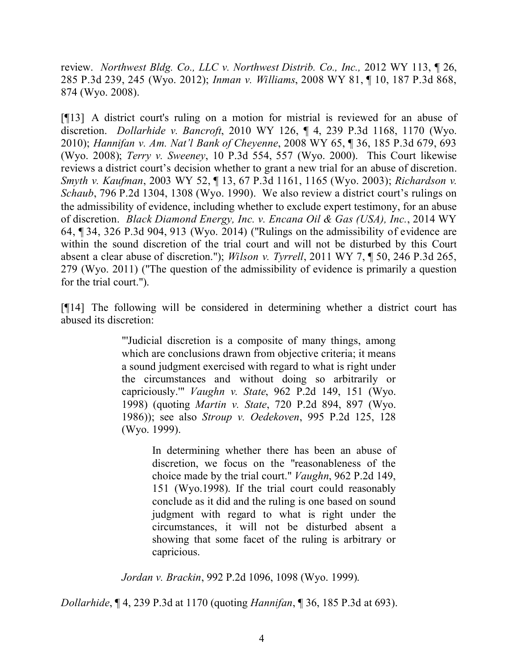review. *Northwest Bldg. Co., LLC v. Northwest Distrib. Co., Inc.,* 2012 WY 113, ¶ 26, 285 P.3d 239, 245 (Wyo. 2012); *Inman v. Williams*, 2008 WY 81, ¶ 10, 187 P.3d 868, 874 (Wyo. 2008).

[¶13] A district court's ruling on a motion for mistrial is reviewed for an abuse of discretion. *Dollarhide v. Bancroft*, 2010 WY 126, ¶ 4, 239 P.3d 1168, 1170 (Wyo. 2010); *Hannifan v. Am. Nat'l Bank of Cheyenne*, 2008 WY 65, ¶ 36, 185 P.3d 679, 693 (Wyo. 2008); *Terry v. Sweeney*, 10 P.3d 554, 557 (Wyo. 2000). This Court likewise reviews a district court's decision whether to grant a new trial for an abuse of discretion. *Smyth v. Kaufman*, 2003 WY 52, ¶ 13, 67 P.3d 1161, 1165 (Wyo. 2003); *Richardson v. Schaub*, 796 P.2d 1304, 1308 (Wyo. 1990). We also review a district court's rulings on the admissibility of evidence, including whether to exclude expert testimony, for an abuse of discretion. *Black Diamond Energy, Inc. v. Encana Oil & Gas (USA), Inc.*, 2014 WY 64, ¶ 34, 326 P.3d 904, 913 (Wyo. 2014) ("Rulings on the admissibility of evidence are within the sound discretion of the trial court and will not be disturbed by this Court absent a clear abuse of discretion."); *Wilson v. Tyrrell*, 2011 WY 7, ¶ 50, 246 P.3d 265, 279 (Wyo. 2011) ("The question of the admissibility of evidence is primarily a question for the trial court.").

[¶14] The following will be considered in determining whether a district court has abused its discretion:

> "'Judicial discretion is a composite of many things, among which are conclusions drawn from objective criteria; it means a sound judgment exercised with regard to what is right under the circumstances and without doing so arbitrarily or capriciously.'" *Vaughn v. State*, 962 P.2d 149, 151 (Wyo. 1998) (quoting *Martin v. State*, 720 P.2d 894, 897 (Wyo. 1986)); see also *Stroup v. Oedekoven*, 995 P.2d 125, 128 (Wyo. 1999).

> > In determining whether there has been an abuse of discretion, we focus on the "reasonableness of the choice made by the trial court." *Vaughn*, 962 P.2d 149, 151 (Wyo.1998). If the trial court could reasonably conclude as it did and the ruling is one based on sound judgment with regard to what is right under the circumstances, it will not be disturbed absent a showing that some facet of the ruling is arbitrary or capricious.

*Jordan v. Brackin*, 992 P.2d 1096, 1098 (Wyo. 1999).

*Dollarhide*, ¶ 4, 239 P.3d at 1170 (quoting *Hannifan*, ¶ 36, 185 P.3d at 693).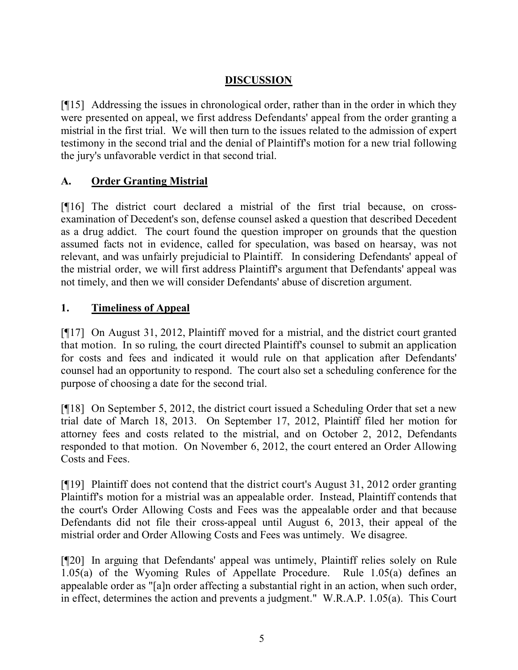# **DISCUSSION**

[¶15] Addressing the issues in chronological order, rather than in the order in which they were presented on appeal, we first address Defendants' appeal from the order granting a mistrial in the first trial. We will then turn to the issues related to the admission of expert testimony in the second trial and the denial of Plaintiff's motion for a new trial following the jury's unfavorable verdict in that second trial.

# **A. Order Granting Mistrial**

[¶16] The district court declared a mistrial of the first trial because, on crossexamination of Decedent's son, defense counsel asked a question that described Decedent as a drug addict. The court found the question improper on grounds that the question assumed facts not in evidence, called for speculation, was based on hearsay, was not relevant, and was unfairly prejudicial to Plaintiff. In considering Defendants' appeal of the mistrial order, we will first address Plaintiff's argument that Defendants' appeal was not timely, and then we will consider Defendants' abuse of discretion argument.

### **1. Timeliness of Appeal**

[¶17] On August 31, 2012, Plaintiff moved for a mistrial, and the district court granted that motion. In so ruling, the court directed Plaintiff's counsel to submit an application for costs and fees and indicated it would rule on that application after Defendants' counsel had an opportunity to respond. The court also set a scheduling conference for the purpose of choosing a date for the second trial.

[¶18] On September 5, 2012, the district court issued a Scheduling Order that set a new trial date of March 18, 2013. On September 17, 2012, Plaintiff filed her motion for attorney fees and costs related to the mistrial, and on October 2, 2012, Defendants responded to that motion. On November 6, 2012, the court entered an Order Allowing Costs and Fees.

[¶19] Plaintiff does not contend that the district court's August 31, 2012 order granting Plaintiff's motion for a mistrial was an appealable order. Instead, Plaintiff contends that the court's Order Allowing Costs and Fees was the appealable order and that because Defendants did not file their cross-appeal until August 6, 2013, their appeal of the mistrial order and Order Allowing Costs and Fees was untimely. We disagree.

[¶20] In arguing that Defendants' appeal was untimely, Plaintiff relies solely on Rule 1.05(a) of the Wyoming Rules of Appellate Procedure. Rule 1.05(a) defines an appealable order as "[a]n order affecting a substantial right in an action, when such order, in effect, determines the action and prevents a judgment." W.R.A.P. 1.05(a). This Court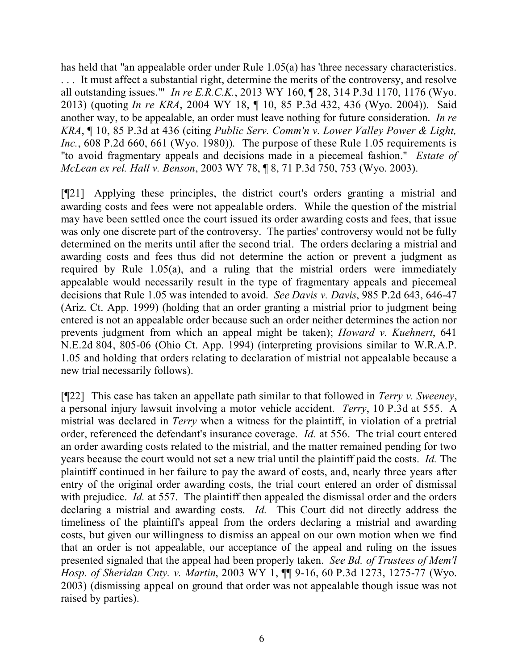has held that "an appealable order under Rule 1.05(a) has 'three necessary characteristics. . . . It must affect a substantial right, determine the merits of the controversy, and resolve all outstanding issues.'" *In re E.R.C.K.*, 2013 WY 160, ¶ 28, 314 P.3d 1170, 1176 (Wyo. 2013) (quoting *In re KRA*, 2004 WY 18, ¶ 10, 85 P.3d 432, 436 (Wyo. 2004)). Said another way, to be appealable, an order must leave nothing for future consideration. *In re KRA*, ¶ 10, 85 P.3d at 436 (citing *Public Serv. Comm'n v. Lower Valley Power & Light, Inc.*, 608 P.2d 660, 661 (Wyo. 1980)). The purpose of these Rule 1.05 requirements is "to avoid fragmentary appeals and decisions made in a piecemeal fashion." *Estate of McLean ex rel. Hall v. Benson*, 2003 WY 78, ¶ 8, 71 P.3d 750, 753 (Wyo. 2003).

[¶21] Applying these principles, the district court's orders granting a mistrial and awarding costs and fees were not appealable orders. While the question of the mistrial may have been settled once the court issued its order awarding costs and fees, that issue was only one discrete part of the controversy. The parties' controversy would not be fully determined on the merits until after the second trial. The orders declaring a mistrial and awarding costs and fees thus did not determine the action or prevent a judgment as required by Rule 1.05(a), and a ruling that the mistrial orders were immediately appealable would necessarily result in the type of fragmentary appeals and piecemeal decisions that Rule 1.05 was intended to avoid. *See Davis v. Davis*, 985 P.2d 643, 646-47 (Ariz. Ct. App. 1999) (holding that an order granting a mistrial prior to judgment being entered is not an appealable order because such an order neither determines the action nor prevents judgment from which an appeal might be taken); *Howard v. Kuehnert*, 641 N.E.2d 804, 805-06 (Ohio Ct. App. 1994) (interpreting provisions similar to W.R.A.P. 1.05 and holding that orders relating to declaration of mistrial not appealable because a new trial necessarily follows).

[¶22] This case has taken an appellate path similar to that followed in *Terry v. Sweeney*, a personal injury lawsuit involving a motor vehicle accident. *Terry*, 10 P.3d at 555. A mistrial was declared in *Terry* when a witness for the plaintiff, in violation of a pretrial order, referenced the defendant's insurance coverage. *Id.* at 556. The trial court entered an order awarding costs related to the mistrial, and the matter remained pending for two years because the court would not set a new trial until the plaintiff paid the costs. *Id.* The plaintiff continued in her failure to pay the award of costs, and, nearly three years after entry of the original order awarding costs, the trial court entered an order of dismissal with prejudice. *Id.* at 557. The plaintiff then appealed the dismissal order and the orders declaring a mistrial and awarding costs. *Id.* This Court did not directly address the timeliness of the plaintiff's appeal from the orders declaring a mistrial and awarding costs, but given our willingness to dismiss an appeal on our own motion when we find that an order is not appealable, our acceptance of the appeal and ruling on the issues presented signaled that the appeal had been properly taken. *See Bd. of Trustees of Mem'l Hosp. of Sheridan Cnty. v. Martin*, 2003 WY 1, ¶¶ 9-16, 60 P.3d 1273, 1275-77 (Wyo. 2003) (dismissing appeal on ground that order was not appealable though issue was not raised by parties).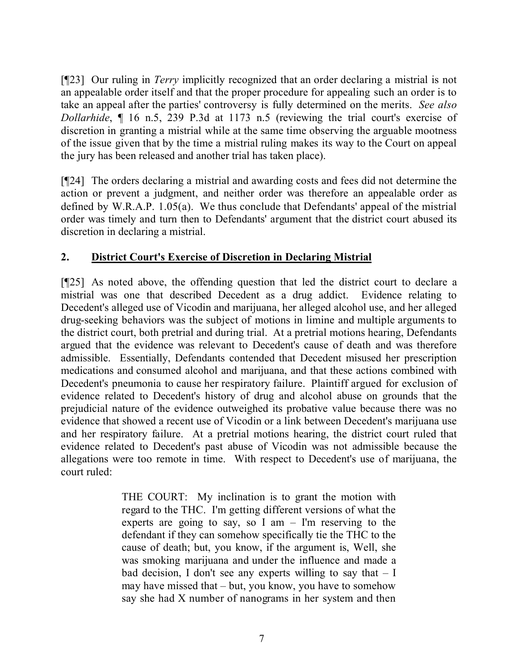[¶23] Our ruling in *Terry* implicitly recognized that an order declaring a mistrial is not an appealable order itself and that the proper procedure for appealing such an order is to take an appeal after the parties' controversy is fully determined on the merits. *See also Dollarhide*, ¶ 16 n.5, 239 P.3d at 1173 n.5 (reviewing the trial court's exercise of discretion in granting a mistrial while at the same time observing the arguable mootness of the issue given that by the time a mistrial ruling makes its way to the Court on appeal the jury has been released and another trial has taken place).

[¶24] The orders declaring a mistrial and awarding costs and fees did not determine the action or prevent a judgment, and neither order was therefore an appealable order as defined by W.R.A.P. 1.05(a). We thus conclude that Defendants' appeal of the mistrial order was timely and turn then to Defendants' argument that the district court abused its discretion in declaring a mistrial.

### **2. District Court's Exercise of Discretion in Declaring Mistrial**

[¶25] As noted above, the offending question that led the district court to declare a mistrial was one that described Decedent as a drug addict. Evidence relating to Decedent's alleged use of Vicodin and marijuana, her alleged alcohol use, and her alleged drug-seeking behaviors was the subject of motions in limine and multiple arguments to the district court, both pretrial and during trial. At a pretrial motions hearing, Defendants argued that the evidence was relevant to Decedent's cause of death and was therefore admissible. Essentially, Defendants contended that Decedent misused her prescription medications and consumed alcohol and marijuana, and that these actions combined with Decedent's pneumonia to cause her respiratory failure. Plaintiff argued for exclusion of evidence related to Decedent's history of drug and alcohol abuse on grounds that the prejudicial nature of the evidence outweighed its probative value because there was no evidence that showed a recent use of Vicodin or a link between Decedent's marijuana use and her respiratory failure. At a pretrial motions hearing, the district court ruled that evidence related to Decedent's past abuse of Vicodin was not admissible because the allegations were too remote in time. With respect to Decedent's use of marijuana, the court ruled:

> THE COURT: My inclination is to grant the motion with regard to the THC. I'm getting different versions of what the experts are going to say, so I am  $-$  I'm reserving to the defendant if they can somehow specifically tie the THC to the cause of death; but, you know, if the argument is, Well, she was smoking marijuana and under the influence and made a bad decision, I don't see any experts willing to say that  $- I$ may have missed that – but, you know, you have to somehow say she had X number of nanograms in her system and then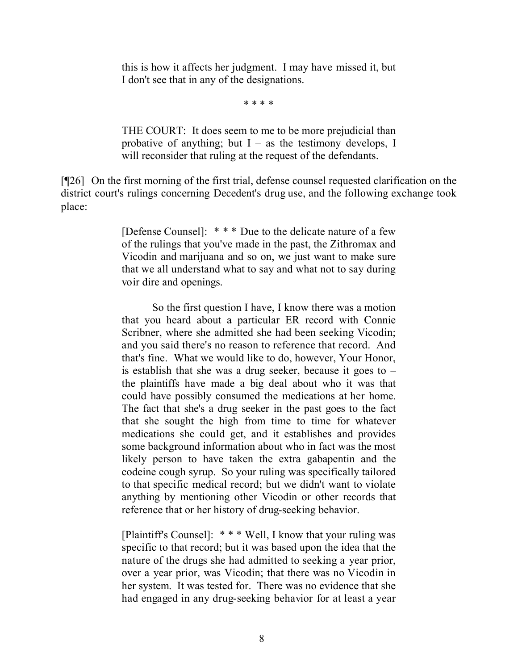this is how it affects her judgment. I may have missed it, but I don't see that in any of the designations.

\* \* \* \*

THE COURT: It does seem to me to be more prejudicial than probative of anything; but  $I -$  as the testimony develops, I will reconsider that ruling at the request of the defendants.

[¶26] On the first morning of the first trial, defense counsel requested clarification on the district court's rulings concerning Decedent's drug use, and the following exchange took place:

> [Defense Counsel]: \* \* \* Due to the delicate nature of a few of the rulings that you've made in the past, the Zithromax and Vicodin and marijuana and so on, we just want to make sure that we all understand what to say and what not to say during voir dire and openings.

> So the first question I have, I know there was a motion that you heard about a particular ER record with Connie Scribner, where she admitted she had been seeking Vicodin; and you said there's no reason to reference that record. And that's fine. What we would like to do, however, Your Honor, is establish that she was a drug seeker, because it goes to – the plaintiffs have made a big deal about who it was that could have possibly consumed the medications at her home. The fact that she's a drug seeker in the past goes to the fact that she sought the high from time to time for whatever medications she could get, and it establishes and provides some background information about who in fact was the most likely person to have taken the extra gabapentin and the codeine cough syrup. So your ruling was specifically tailored to that specific medical record; but we didn't want to violate anything by mentioning other Vicodin or other records that reference that or her history of drug-seeking behavior.

> [Plaintiff's Counsel]: \* \* \* Well, I know that your ruling was specific to that record; but it was based upon the idea that the nature of the drugs she had admitted to seeking a year prior, over a year prior, was Vicodin; that there was no Vicodin in her system. It was tested for. There was no evidence that she had engaged in any drug-seeking behavior for at least a year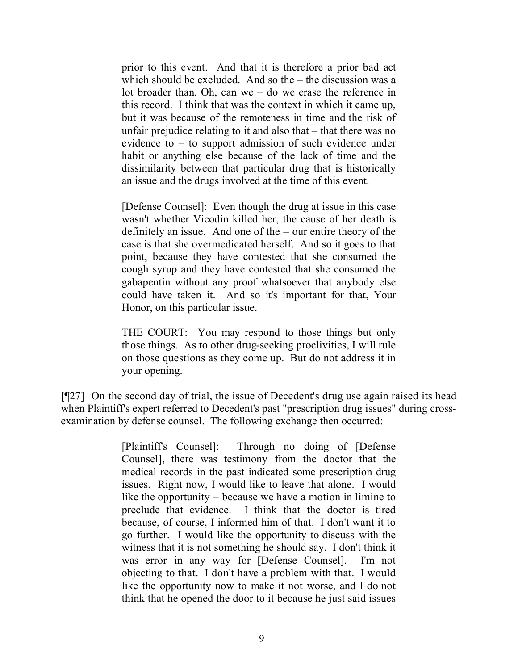prior to this event. And that it is therefore a prior bad act which should be excluded. And so the – the discussion was a lot broader than, Oh, can we – do we erase the reference in this record. I think that was the context in which it came up, but it was because of the remoteness in time and the risk of unfair prejudice relating to it and also that – that there was no evidence to – to support admission of such evidence under habit or anything else because of the lack of time and the dissimilarity between that particular drug that is historically an issue and the drugs involved at the time of this event.

[Defense Counsel]: Even though the drug at issue in this case wasn't whether Vicodin killed her, the cause of her death is definitely an issue. And one of the – our entire theory of the case is that she overmedicated herself. And so it goes to that point, because they have contested that she consumed the cough syrup and they have contested that she consumed the gabapentin without any proof whatsoever that anybody else could have taken it. And so it's important for that, Your Honor, on this particular issue.

THE COURT: You may respond to those things but only those things. As to other drug-seeking proclivities, I will rule on those questions as they come up. But do not address it in your opening.

[¶27] On the second day of trial, the issue of Decedent's drug use again raised its head when Plaintiff's expert referred to Decedent's past "prescription drug issues" during crossexamination by defense counsel. The following exchange then occurred:

> [Plaintiff's Counsel]: Through no doing of [Defense Counsel], there was testimony from the doctor that the medical records in the past indicated some prescription drug issues. Right now, I would like to leave that alone. I would like the opportunity – because we have a motion in limine to preclude that evidence. I think that the doctor is tired because, of course, I informed him of that. I don't want it to go further. I would like the opportunity to discuss with the witness that it is not something he should say. I don't think it was error in any way for [Defense Counsel]. I'm not objecting to that. I don't have a problem with that. I would like the opportunity now to make it not worse, and I do not think that he opened the door to it because he just said issues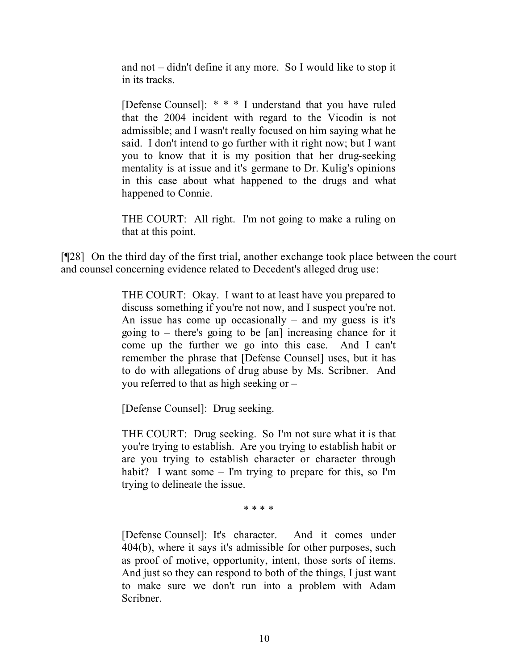and not – didn't define it any more. So I would like to stop it in its tracks.

[Defense Counsel]: \* \* \* I understand that you have ruled that the 2004 incident with regard to the Vicodin is not admissible; and I wasn't really focused on him saying what he said. I don't intend to go further with it right now; but I want you to know that it is my position that her drug-seeking mentality is at issue and it's germane to Dr. Kulig's opinions in this case about what happened to the drugs and what happened to Connie.

THE COURT: All right. I'm not going to make a ruling on that at this point.

[¶28] On the third day of the first trial, another exchange took place between the court and counsel concerning evidence related to Decedent's alleged drug use:

> THE COURT: Okay. I want to at least have you prepared to discuss something if you're not now, and I suspect you're not. An issue has come up occasionally – and my guess is it's going to – there's going to be [an] increasing chance for it come up the further we go into this case. And I can't remember the phrase that [Defense Counsel] uses, but it has to do with allegations of drug abuse by Ms. Scribner. And you referred to that as high seeking or –

[Defense Counsel]: Drug seeking.

THE COURT: Drug seeking. So I'm not sure what it is that you're trying to establish. Are you trying to establish habit or are you trying to establish character or character through habit? I want some – I'm trying to prepare for this, so I'm trying to delineate the issue.

\* \* \* \*

[Defense Counsel]: It's character. And it comes under 404(b), where it says it's admissible for other purposes, such as proof of motive, opportunity, intent, those sorts of items. And just so they can respond to both of the things, I just want to make sure we don't run into a problem with Adam Scribner.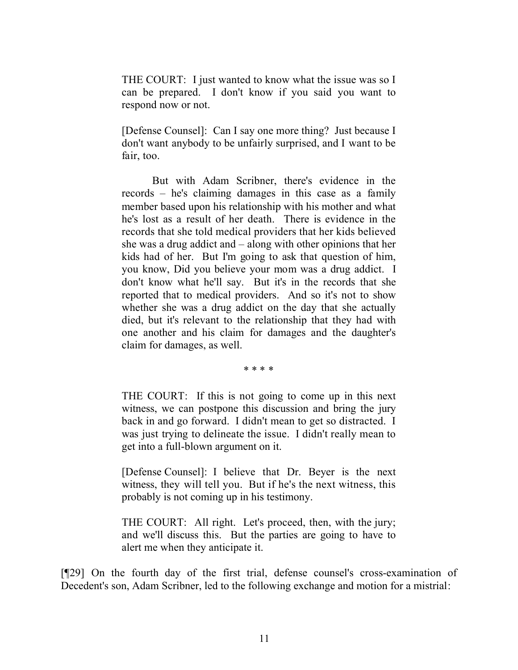THE COURT: I just wanted to know what the issue was so I can be prepared. I don't know if you said you want to respond now or not.

[Defense Counsel]: Can I say one more thing? Just because I don't want anybody to be unfairly surprised, and I want to be fair, too.

But with Adam Scribner, there's evidence in the records – he's claiming damages in this case as a family member based upon his relationship with his mother and what he's lost as a result of her death. There is evidence in the records that she told medical providers that her kids believed she was a drug addict and – along with other opinions that her kids had of her. But I'm going to ask that question of him, you know, Did you believe your mom was a drug addict. I don't know what he'll say. But it's in the records that she reported that to medical providers. And so it's not to show whether she was a drug addict on the day that she actually died, but it's relevant to the relationship that they had with one another and his claim for damages and the daughter's claim for damages, as well.

\* \* \* \*

THE COURT: If this is not going to come up in this next witness, we can postpone this discussion and bring the jury back in and go forward. I didn't mean to get so distracted. I was just trying to delineate the issue. I didn't really mean to get into a full-blown argument on it.

[Defense Counsel]: I believe that Dr. Beyer is the next witness, they will tell you. But if he's the next witness, this probably is not coming up in his testimony.

THE COURT: All right. Let's proceed, then, with the jury; and we'll discuss this. But the parties are going to have to alert me when they anticipate it.

[¶29] On the fourth day of the first trial, defense counsel's cross-examination of Decedent's son, Adam Scribner, led to the following exchange and motion for a mistrial: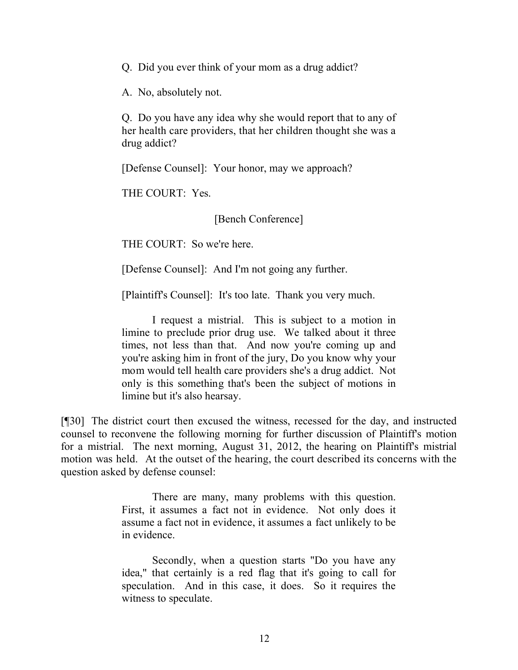Q. Did you ever think of your mom as a drug addict?

A. No, absolutely not.

Q. Do you have any idea why she would report that to any of her health care providers, that her children thought she was a drug addict?

[Defense Counsel]: Your honor, may we approach?

THE COURT: Yes.

[Bench Conference]

THE COURT: So we're here.

[Defense Counsel]: And I'm not going any further.

[Plaintiff's Counsel]: It's too late. Thank you very much.

I request a mistrial. This is subject to a motion in limine to preclude prior drug use. We talked about it three times, not less than that. And now you're coming up and you're asking him in front of the jury, Do you know why your mom would tell health care providers she's a drug addict. Not only is this something that's been the subject of motions in limine but it's also hearsay.

[¶30] The district court then excused the witness, recessed for the day, and instructed counsel to reconvene the following morning for further discussion of Plaintiff's motion for a mistrial. The next morning, August 31, 2012, the hearing on Plaintiff's mistrial motion was held. At the outset of the hearing, the court described its concerns with the question asked by defense counsel:

> There are many, many problems with this question. First, it assumes a fact not in evidence. Not only does it assume a fact not in evidence, it assumes a fact unlikely to be in evidence.

> Secondly, when a question starts "Do you have any idea," that certainly is a red flag that it's going to call for speculation. And in this case, it does. So it requires the witness to speculate.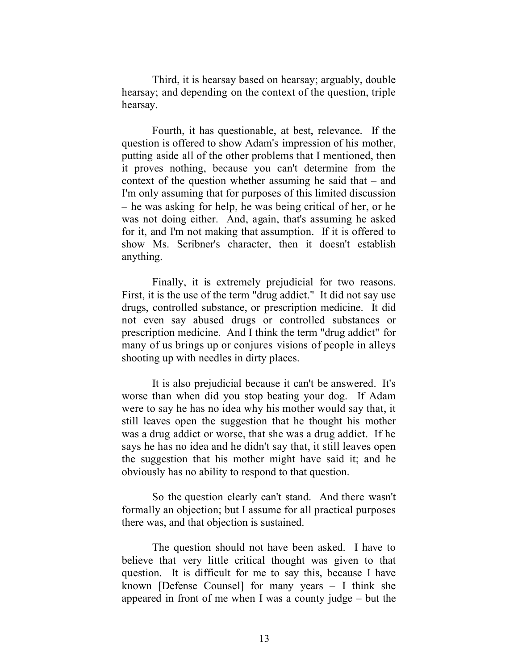Third, it is hearsay based on hearsay; arguably, double hearsay; and depending on the context of the question, triple hearsay.

Fourth, it has questionable, at best, relevance. If the question is offered to show Adam's impression of his mother, putting aside all of the other problems that I mentioned, then it proves nothing, because you can't determine from the context of the question whether assuming he said that – and I'm only assuming that for purposes of this limited discussion – he was asking for help, he was being critical of her, or he was not doing either. And, again, that's assuming he asked for it, and I'm not making that assumption. If it is offered to show Ms. Scribner's character, then it doesn't establish anything.

Finally, it is extremely prejudicial for two reasons. First, it is the use of the term "drug addict." It did not say use drugs, controlled substance, or prescription medicine. It did not even say abused drugs or controlled substances or prescription medicine. And I think the term "drug addict" for many of us brings up or conjures visions of people in alleys shooting up with needles in dirty places.

It is also prejudicial because it can't be answered. It's worse than when did you stop beating your dog. If Adam were to say he has no idea why his mother would say that, it still leaves open the suggestion that he thought his mother was a drug addict or worse, that she was a drug addict. If he says he has no idea and he didn't say that, it still leaves open the suggestion that his mother might have said it; and he obviously has no ability to respond to that question.

So the question clearly can't stand. And there wasn't formally an objection; but I assume for all practical purposes there was, and that objection is sustained.

The question should not have been asked. I have to believe that very little critical thought was given to that question. It is difficult for me to say this, because I have known [Defense Counsel] for many years – I think she appeared in front of me when I was a county judge – but the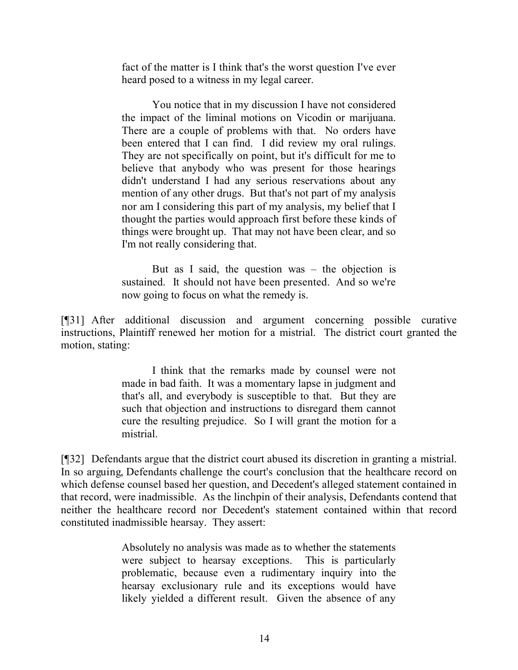fact of the matter is I think that's the worst question I've ever heard posed to a witness in my legal career.

You notice that in my discussion I have not considered the impact of the liminal motions on Vicodin or marijuana. There are a couple of problems with that. No orders have been entered that I can find. I did review my oral rulings. They are not specifically on point, but it's difficult for me to believe that anybody who was present for those hearings didn't understand I had any serious reservations about any mention of any other drugs. But that's not part of my analysis nor am I considering this part of my analysis, my belief that I thought the parties would approach first before these kinds of things were brought up. That may not have been clear, and so I'm not really considering that.

But as I said, the question was – the objection is sustained. It should not have been presented. And so we're now going to focus on what the remedy is.

[¶31] After additional discussion and argument concerning possible curative instructions, Plaintiff renewed her motion for a mistrial. The district court granted the motion, stating:

> I think that the remarks made by counsel were not made in bad faith. It was a momentary lapse in judgment and that's all, and everybody is susceptible to that. But they are such that objection and instructions to disregard them cannot cure the resulting prejudice. So I will grant the motion for a mistrial.

[¶32] Defendants argue that the district court abused its discretion in granting a mistrial. In so arguing, Defendants challenge the court's conclusion that the healthcare record on which defense counsel based her question, and Decedent's alleged statement contained in that record, were inadmissible. As the linchpin of their analysis, Defendants contend that neither the healthcare record nor Decedent's statement contained within that record constituted inadmissible hearsay. They assert:

> Absolutely no analysis was made as to whether the statements were subject to hearsay exceptions. This is particularly problematic, because even a rudimentary inquiry into the hearsay exclusionary rule and its exceptions would have likely yielded a different result. Given the absence of any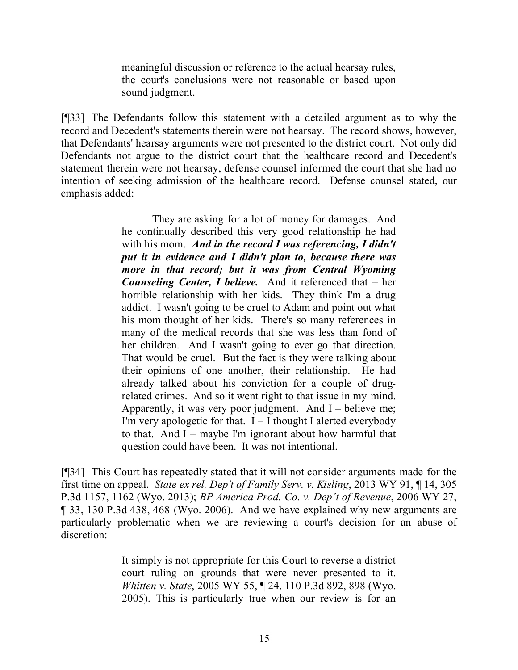meaningful discussion or reference to the actual hearsay rules, the court's conclusions were not reasonable or based upon sound judgment.

[¶33] The Defendants follow this statement with a detailed argument as to why the record and Decedent's statements therein were not hearsay. The record shows, however, that Defendants' hearsay arguments were not presented to the district court. Not only did Defendants not argue to the district court that the healthcare record and Decedent's statement therein were not hearsay, defense counsel informed the court that she had no intention of seeking admission of the healthcare record. Defense counsel stated, our emphasis added:

> They are asking for a lot of money for damages. And he continually described this very good relationship he had with his mom. *And in the record I was referencing, I didn't put it in evidence and I didn't plan to, because there was more in that record; but it was from Central Wyoming Counseling Center, I believe.* And it referenced that – her horrible relationship with her kids. They think I'm a drug addict. I wasn't going to be cruel to Adam and point out what his mom thought of her kids. There's so many references in many of the medical records that she was less than fond of her children. And I wasn't going to ever go that direction. That would be cruel. But the fact is they were talking about their opinions of one another, their relationship. He had already talked about his conviction for a couple of drugrelated crimes. And so it went right to that issue in my mind. Apparently, it was very poor judgment. And  $I -$  believe me; I'm very apologetic for that.  $I - I$  thought I alerted everybody to that. And I – maybe I'm ignorant about how harmful that question could have been. It was not intentional.

[¶34] This Court has repeatedly stated that it will not consider arguments made for the first time on appeal. *State ex rel. Dep't of Family Serv. v. Kisling*, 2013 WY 91, ¶ 14, 305 P.3d 1157, 1162 (Wyo. 2013); *BP America Prod. Co. v. Dep't of Revenue*, 2006 WY 27, ¶ 33, 130 P.3d 438, 468 (Wyo. 2006). And we have explained why new arguments are particularly problematic when we are reviewing a court's decision for an abuse of discretion:

> It simply is not appropriate for this Court to reverse a district court ruling on grounds that were never presented to it. *Whitten v. State*, 2005 WY 55, ¶ 24, 110 P.3d 892, 898 (Wyo. 2005). This is particularly true when our review is for an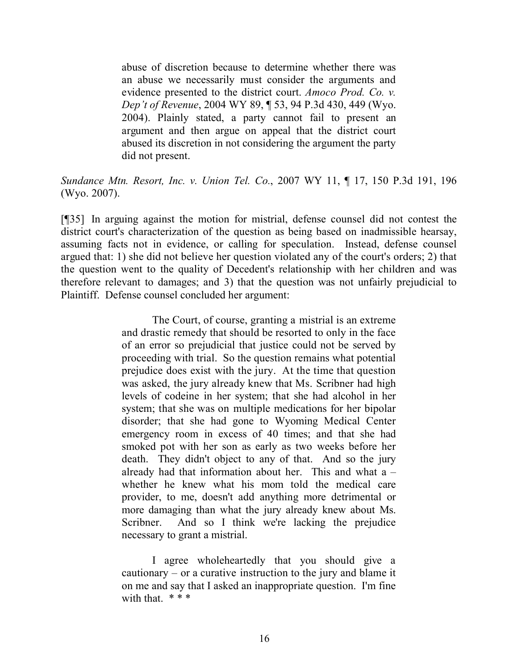abuse of discretion because to determine whether there was an abuse we necessarily must consider the arguments and evidence presented to the district court. *Amoco Prod. Co. v. Dep't of Revenue*, 2004 WY 89, ¶ 53, 94 P.3d 430, 449 (Wyo. 2004). Plainly stated, a party cannot fail to present an argument and then argue on appeal that the district court abused its discretion in not considering the argument the party did not present.

### *Sundance Mtn. Resort, Inc. v. Union Tel. Co.*, 2007 WY 11, ¶ 17, 150 P.3d 191, 196 (Wyo. 2007).

[¶35] In arguing against the motion for mistrial, defense counsel did not contest the district court's characterization of the question as being based on inadmissible hearsay, assuming facts not in evidence, or calling for speculation. Instead, defense counsel argued that: 1) she did not believe her question violated any of the court's orders; 2) that the question went to the quality of Decedent's relationship with her children and was therefore relevant to damages; and 3) that the question was not unfairly prejudicial to Plaintiff. Defense counsel concluded her argument:

> The Court, of course, granting a mistrial is an extreme and drastic remedy that should be resorted to only in the face of an error so prejudicial that justice could not be served by proceeding with trial. So the question remains what potential prejudice does exist with the jury. At the time that question was asked, the jury already knew that Ms. Scribner had high levels of codeine in her system; that she had alcohol in her system; that she was on multiple medications for her bipolar disorder; that she had gone to Wyoming Medical Center emergency room in excess of 40 times; and that she had smoked pot with her son as early as two weeks before her death. They didn't object to any of that. And so the jury already had that information about her. This and what  $a$ whether he knew what his mom told the medical care provider, to me, doesn't add anything more detrimental or more damaging than what the jury already knew about Ms. Scribner. And so I think we're lacking the prejudice necessary to grant a mistrial.

I agree wholeheartedly that you should give a cautionary – or a curative instruction to the jury and blame it on me and say that I asked an inappropriate question. I'm fine with that  $***$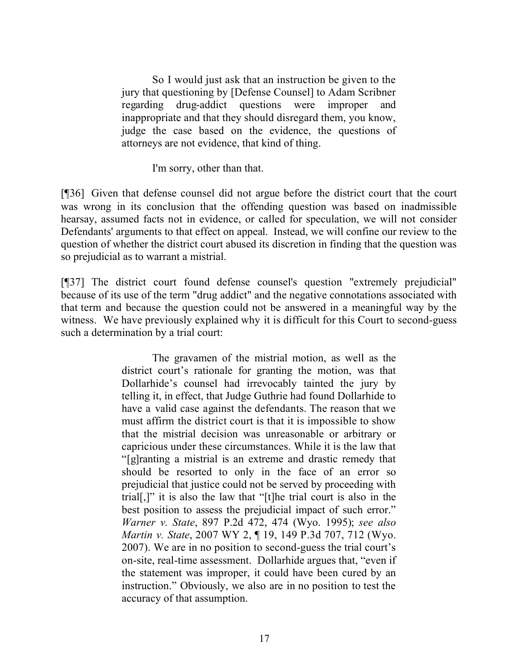So I would just ask that an instruction be given to the jury that questioning by [Defense Counsel] to Adam Scribner regarding drug-addict questions were improper and inappropriate and that they should disregard them, you know, judge the case based on the evidence, the questions of attorneys are not evidence, that kind of thing.

I'm sorry, other than that.

[¶36] Given that defense counsel did not argue before the district court that the court was wrong in its conclusion that the offending question was based on inadmissible hearsay, assumed facts not in evidence, or called for speculation, we will not consider Defendants' arguments to that effect on appeal. Instead, we will confine our review to the question of whether the district court abused its discretion in finding that the question was so prejudicial as to warrant a mistrial.

[¶37] The district court found defense counsel's question "extremely prejudicial" because of its use of the term "drug addict" and the negative connotations associated with that term and because the question could not be answered in a meaningful way by the witness. We have previously explained why it is difficult for this Court to second-guess such a determination by a trial court:

> The gravamen of the mistrial motion, as well as the district court's rationale for granting the motion, was that Dollarhide's counsel had irrevocably tainted the jury by telling it, in effect, that Judge Guthrie had found Dollarhide to have a valid case against the defendants. The reason that we must affirm the district court is that it is impossible to show that the mistrial decision was unreasonable or arbitrary or capricious under these circumstances. While it is the law that "[g]ranting a mistrial is an extreme and drastic remedy that should be resorted to only in the face of an error so prejudicial that justice could not be served by proceeding with trial[,]" it is also the law that "[t]he trial court is also in the best position to assess the prejudicial impact of such error." *Warner v. State*, 897 P.2d 472, 474 (Wyo. 1995); *see also Martin v. State*, 2007 WY 2, ¶ 19, 149 P.3d 707, 712 (Wyo. 2007). We are in no position to second-guess the trial court's on-site, real-time assessment. Dollarhide argues that, "even if the statement was improper, it could have been cured by an instruction." Obviously, we also are in no position to test the accuracy of that assumption.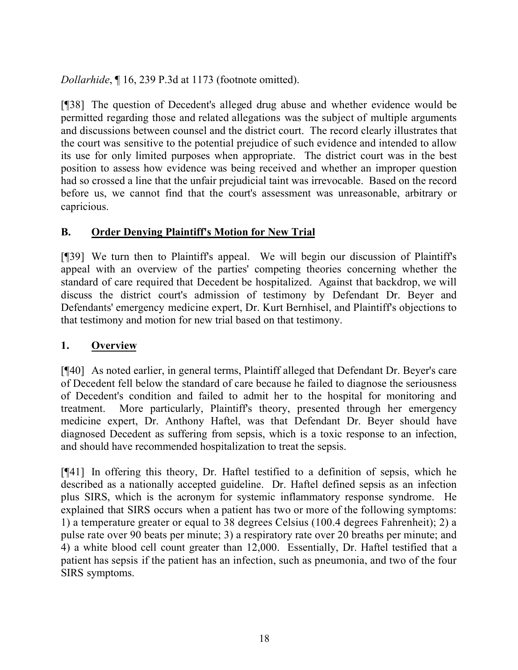*Dollarhide*, ¶ 16, 239 P.3d at 1173 (footnote omitted).

[¶38] The question of Decedent's alleged drug abuse and whether evidence would be permitted regarding those and related allegations was the subject of multiple arguments and discussions between counsel and the district court. The record clearly illustrates that the court was sensitive to the potential prejudice of such evidence and intended to allow its use for only limited purposes when appropriate. The district court was in the best position to assess how evidence was being received and whether an improper question had so crossed a line that the unfair prejudicial taint was irrevocable. Based on the record before us, we cannot find that the court's assessment was unreasonable, arbitrary or capricious.

# **B. Order Denying Plaintiff's Motion for New Trial**

[¶39] We turn then to Plaintiff's appeal. We will begin our discussion of Plaintiff's appeal with an overview of the parties' competing theories concerning whether the standard of care required that Decedent be hospitalized. Against that backdrop, we will discuss the district court's admission of testimony by Defendant Dr. Beyer and Defendants' emergency medicine expert, Dr. Kurt Bernhisel, and Plaintiff's objections to that testimony and motion for new trial based on that testimony.

### **1. Overview**

[¶40] As noted earlier, in general terms, Plaintiff alleged that Defendant Dr. Beyer's care of Decedent fell below the standard of care because he failed to diagnose the seriousness of Decedent's condition and failed to admit her to the hospital for monitoring and treatment. More particularly, Plaintiff's theory, presented through her emergency medicine expert, Dr. Anthony Haftel, was that Defendant Dr. Beyer should have diagnosed Decedent as suffering from sepsis, which is a toxic response to an infection, and should have recommended hospitalization to treat the sepsis.

[¶41] In offering this theory, Dr. Haftel testified to a definition of sepsis, which he described as a nationally accepted guideline. Dr. Haftel defined sepsis as an infection plus SIRS, which is the acronym for systemic inflammatory response syndrome. He explained that SIRS occurs when a patient has two or more of the following symptoms: 1) a temperature greater or equal to 38 degrees Celsius (100.4 degrees Fahrenheit); 2) a pulse rate over 90 beats per minute; 3) a respiratory rate over 20 breaths per minute; and 4) a white blood cell count greater than 12,000. Essentially, Dr. Haftel testified that a patient has sepsis if the patient has an infection, such as pneumonia, and two of the four SIRS symptoms.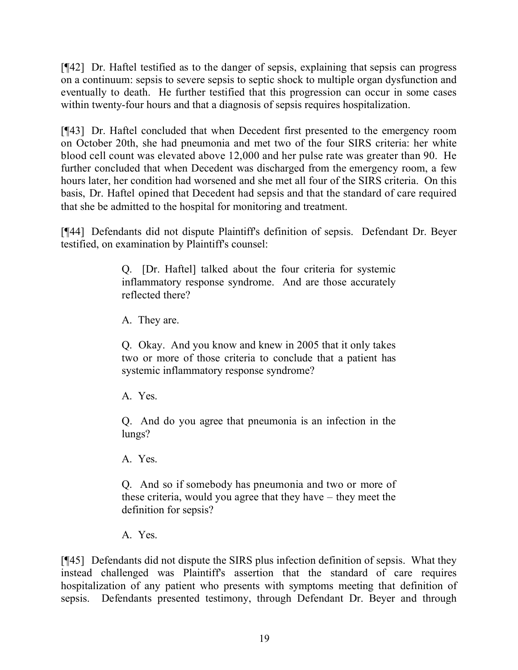[¶42] Dr. Haftel testified as to the danger of sepsis, explaining that sepsis can progress on a continuum: sepsis to severe sepsis to septic shock to multiple organ dysfunction and eventually to death. He further testified that this progression can occur in some cases within twenty-four hours and that a diagnosis of sepsis requires hospitalization.

[¶43] Dr. Haftel concluded that when Decedent first presented to the emergency room on October 20th, she had pneumonia and met two of the four SIRS criteria: her white blood cell count was elevated above 12,000 and her pulse rate was greater than 90. He further concluded that when Decedent was discharged from the emergency room, a few hours later, her condition had worsened and she met all four of the SIRS criteria. On this basis, Dr. Haftel opined that Decedent had sepsis and that the standard of care required that she be admitted to the hospital for monitoring and treatment.

[¶44] Defendants did not dispute Plaintiff's definition of sepsis. Defendant Dr. Beyer testified, on examination by Plaintiff's counsel:

> Q. [Dr. Haftel] talked about the four criteria for systemic inflammatory response syndrome. And are those accurately reflected there?

A. They are.

Q. Okay. And you know and knew in 2005 that it only takes two or more of those criteria to conclude that a patient has systemic inflammatory response syndrome?

A. Yes.

Q. And do you agree that pneumonia is an infection in the lungs?

A. Yes.

Q. And so if somebody has pneumonia and two or more of these criteria, would you agree that they have – they meet the definition for sepsis?

A. Yes.

[¶45] Defendants did not dispute the SIRS plus infection definition of sepsis. What they instead challenged was Plaintiff's assertion that the standard of care requires hospitalization of any patient who presents with symptoms meeting that definition of sepsis. Defendants presented testimony, through Defendant Dr. Beyer and through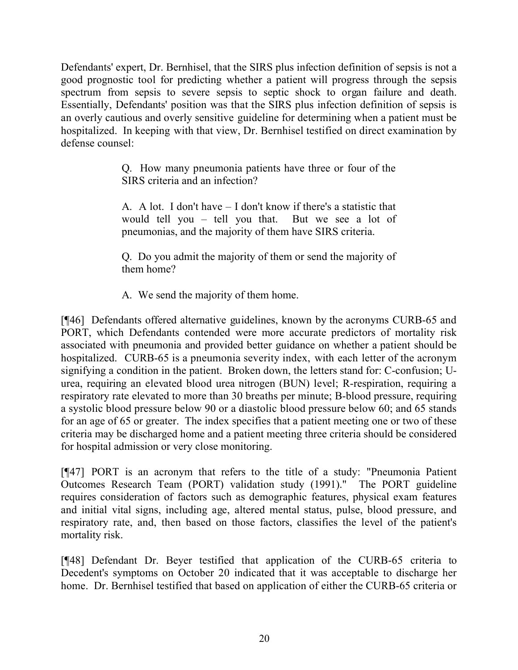Defendants' expert, Dr. Bernhisel, that the SIRS plus infection definition of sepsis is not a good prognostic tool for predicting whether a patient will progress through the sepsis spectrum from sepsis to severe sepsis to septic shock to organ failure and death. Essentially, Defendants' position was that the SIRS plus infection definition of sepsis is an overly cautious and overly sensitive guideline for determining when a patient must be hospitalized. In keeping with that view, Dr. Bernhisel testified on direct examination by defense counsel:

> Q. How many pneumonia patients have three or four of the SIRS criteria and an infection?

> A. A lot. I don't have – I don't know if there's a statistic that would tell you – tell you that. But we see a lot of pneumonias, and the majority of them have SIRS criteria.

> Q. Do you admit the majority of them or send the majority of them home?

A. We send the majority of them home.

[¶46] Defendants offered alternative guidelines, known by the acronyms CURB-65 and PORT, which Defendants contended were more accurate predictors of mortality risk associated with pneumonia and provided better guidance on whether a patient should be hospitalized. CURB-65 is a pneumonia severity index, with each letter of the acronym signifying a condition in the patient. Broken down, the letters stand for: C-confusion; Uurea, requiring an elevated blood urea nitrogen (BUN) level; R-respiration, requiring a respiratory rate elevated to more than 30 breaths per minute; B-blood pressure, requiring a systolic blood pressure below 90 or a diastolic blood pressure below 60; and 65 stands for an age of 65 or greater. The index specifies that a patient meeting one or two of these criteria may be discharged home and a patient meeting three criteria should be considered for hospital admission or very close monitoring.

[¶47] PORT is an acronym that refers to the title of a study: "Pneumonia Patient Outcomes Research Team (PORT) validation study (1991)." The PORT guideline requires consideration of factors such as demographic features, physical exam features and initial vital signs, including age, altered mental status, pulse, blood pressure, and respiratory rate, and, then based on those factors, classifies the level of the patient's mortality risk.

[¶48] Defendant Dr. Beyer testified that application of the CURB-65 criteria to Decedent's symptoms on October 20 indicated that it was acceptable to discharge her home. Dr. Bernhisel testified that based on application of either the CURB-65 criteria or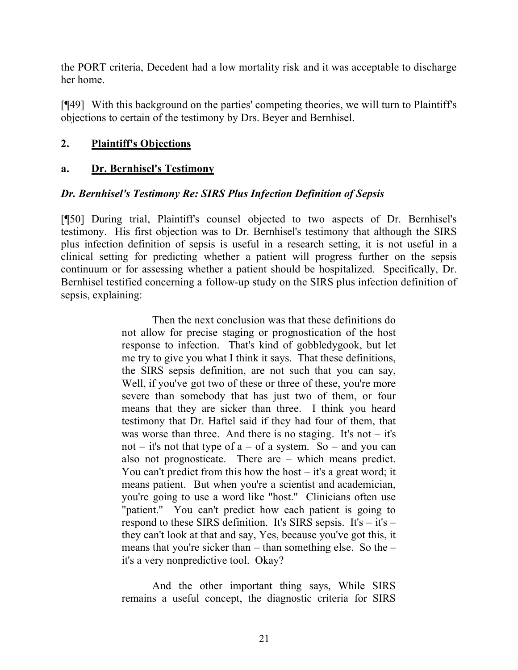the PORT criteria, Decedent had a low mortality risk and it was acceptable to discharge her home.

[¶49] With this background on the parties' competing theories, we will turn to Plaintiff's objections to certain of the testimony by Drs. Beyer and Bernhisel.

### **2. Plaintiff's Objections**

#### **a. Dr. Bernhisel's Testimony**

#### *Dr. Bernhisel's Testimony Re: SIRS Plus Infection Definition of Sepsis*

[¶50] During trial, Plaintiff's counsel objected to two aspects of Dr. Bernhisel's testimony. His first objection was to Dr. Bernhisel's testimony that although the SIRS plus infection definition of sepsis is useful in a research setting, it is not useful in a clinical setting for predicting whether a patient will progress further on the sepsis continuum or for assessing whether a patient should be hospitalized. Specifically, Dr. Bernhisel testified concerning a follow-up study on the SIRS plus infection definition of sepsis, explaining:

> Then the next conclusion was that these definitions do not allow for precise staging or prognostication of the host response to infection. That's kind of gobbledygook, but let me try to give you what I think it says. That these definitions, the SIRS sepsis definition, are not such that you can say, Well, if you've got two of these or three of these, you're more severe than somebody that has just two of them, or four means that they are sicker than three. I think you heard testimony that Dr. Haftel said if they had four of them, that was worse than three. And there is no staging. It's not  $-$  it's not – it's not that type of  $a - of a$  system. So – and you can also not prognosticate. There are – which means predict. You can't predict from this how the host – it's a great word; it means patient. But when you're a scientist and academician, you're going to use a word like "host." Clinicians often use "patient." You can't predict how each patient is going to respond to these SIRS definition. It's SIRS sepsis. It's – it's – they can't look at that and say, Yes, because you've got this, it means that you're sicker than – than something else. So the – it's a very nonpredictive tool. Okay?

And the other important thing says, While SIRS remains a useful concept, the diagnostic criteria for SIRS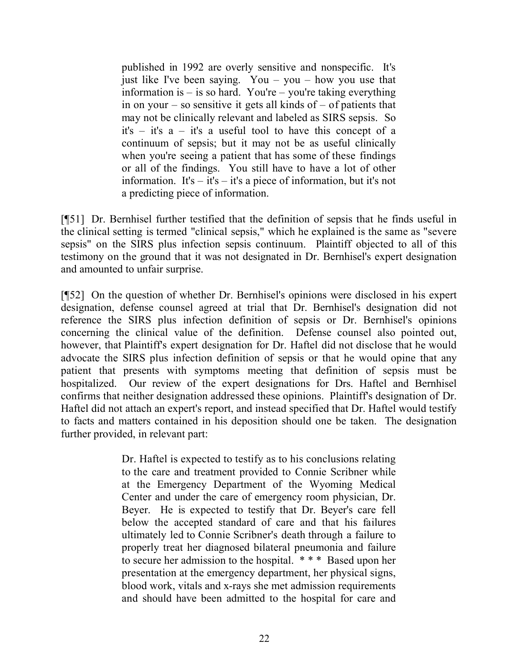published in 1992 are overly sensitive and nonspecific. It's just like I've been saying. You – you – how you use that information is  $-$  is so hard. You're – you're taking everything in on your – so sensitive it gets all kinds of – of patients that may not be clinically relevant and labeled as SIRS sepsis. So it's – it's a – it's a useful tool to have this concept of a continuum of sepsis; but it may not be as useful clinically when you're seeing a patient that has some of these findings or all of the findings. You still have to have a lot of other information. It's  $-$  it's  $-$  it's a piece of information, but it's not a predicting piece of information.

[¶51] Dr. Bernhisel further testified that the definition of sepsis that he finds useful in the clinical setting is termed "clinical sepsis," which he explained is the same as "severe sepsis" on the SIRS plus infection sepsis continuum. Plaintiff objected to all of this testimony on the ground that it was not designated in Dr. Bernhisel's expert designation and amounted to unfair surprise.

[¶52] On the question of whether Dr. Bernhisel's opinions were disclosed in his expert designation, defense counsel agreed at trial that Dr. Bernhisel's designation did not reference the SIRS plus infection definition of sepsis or Dr. Bernhisel's opinions concerning the clinical value of the definition. Defense counsel also pointed out, however, that Plaintiff's expert designation for Dr. Haftel did not disclose that he would advocate the SIRS plus infection definition of sepsis or that he would opine that any patient that presents with symptoms meeting that definition of sepsis must be hospitalized. Our review of the expert designations for Drs. Haftel and Bernhisel confirms that neither designation addressed these opinions. Plaintiff's designation of Dr. Haftel did not attach an expert's report, and instead specified that Dr. Haftel would testify to facts and matters contained in his deposition should one be taken. The designation further provided, in relevant part:

> Dr. Haftel is expected to testify as to his conclusions relating to the care and treatment provided to Connie Scribner while at the Emergency Department of the Wyoming Medical Center and under the care of emergency room physician, Dr. Beyer. He is expected to testify that Dr. Beyer's care fell below the accepted standard of care and that his failures ultimately led to Connie Scribner's death through a failure to properly treat her diagnosed bilateral pneumonia and failure to secure her admission to the hospital. \* \* \* Based upon her presentation at the emergency department, her physical signs, blood work, vitals and x-rays she met admission requirements and should have been admitted to the hospital for care and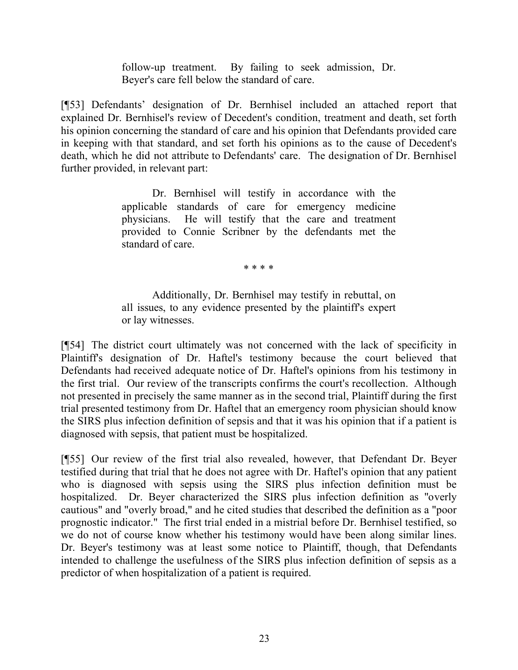follow-up treatment. By failing to seek admission, Dr. Beyer's care fell below the standard of care.

[¶53] Defendants' designation of Dr. Bernhisel included an attached report that explained Dr. Bernhisel's review of Decedent's condition, treatment and death, set forth his opinion concerning the standard of care and his opinion that Defendants provided care in keeping with that standard, and set forth his opinions as to the cause of Decedent's death, which he did not attribute to Defendants' care. The designation of Dr. Bernhisel further provided, in relevant part:

> Dr. Bernhisel will testify in accordance with the applicable standards of care for emergency medicine physicians. He will testify that the care and treatment provided to Connie Scribner by the defendants met the standard of care.

> > \* \* \* \*

Additionally, Dr. Bernhisel may testify in rebuttal, on all issues, to any evidence presented by the plaintiff's expert or lay witnesses.

[¶54] The district court ultimately was not concerned with the lack of specificity in Plaintiff's designation of Dr. Haftel's testimony because the court believed that Defendants had received adequate notice of Dr. Haftel's opinions from his testimony in the first trial. Our review of the transcripts confirms the court's recollection. Although not presented in precisely the same manner as in the second trial, Plaintiff during the first trial presented testimony from Dr. Haftel that an emergency room physician should know the SIRS plus infection definition of sepsis and that it was his opinion that if a patient is diagnosed with sepsis, that patient must be hospitalized.

[¶55] Our review of the first trial also revealed, however, that Defendant Dr. Beyer testified during that trial that he does not agree with Dr. Haftel's opinion that any patient who is diagnosed with sepsis using the SIRS plus infection definition must be hospitalized. Dr. Beyer characterized the SIRS plus infection definition as "overly cautious" and "overly broad," and he cited studies that described the definition as a "poor prognostic indicator." The first trial ended in a mistrial before Dr. Bernhisel testified, so we do not of course know whether his testimony would have been along similar lines. Dr. Beyer's testimony was at least some notice to Plaintiff, though, that Defendants intended to challenge the usefulness of the SIRS plus infection definition of sepsis as a predictor of when hospitalization of a patient is required.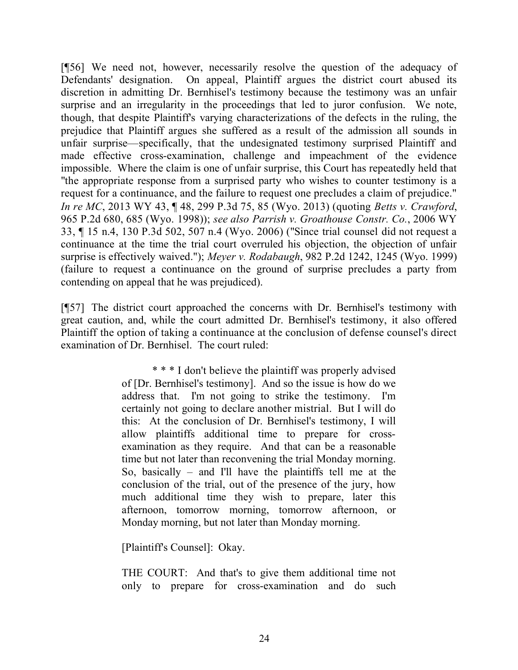[¶56] We need not, however, necessarily resolve the question of the adequacy of Defendants' designation. On appeal, Plaintiff argues the district court abused its discretion in admitting Dr. Bernhisel's testimony because the testimony was an unfair surprise and an irregularity in the proceedings that led to juror confusion. We note, though, that despite Plaintiff's varying characterizations of the defects in the ruling, the prejudice that Plaintiff argues she suffered as a result of the admission all sounds in unfair surprise—specifically, that the undesignated testimony surprised Plaintiff and made effective cross-examination, challenge and impeachment of the evidence impossible. Where the claim is one of unfair surprise, this Court has repeatedly held that "the appropriate response from a surprised party who wishes to counter testimony is a request for a continuance, and the failure to request one precludes a claim of prejudice." *In re MC*, 2013 WY 43, ¶ 48, 299 P.3d 75, 85 (Wyo. 2013) (quoting *Betts v. Crawford*, 965 P.2d 680, 685 (Wyo. 1998)); *see also Parrish v. Groathouse Constr. Co.*, 2006 WY 33, ¶ 15 n.4, 130 P.3d 502, 507 n.4 (Wyo. 2006) ("Since trial counsel did not request a continuance at the time the trial court overruled his objection, the objection of unfair surprise is effectively waived."); *Meyer v. Rodabaugh*, 982 P.2d 1242, 1245 (Wyo. 1999) (failure to request a continuance on the ground of surprise precludes a party from contending on appeal that he was prejudiced).

[¶57] The district court approached the concerns with Dr. Bernhisel's testimony with great caution, and, while the court admitted Dr. Bernhisel's testimony, it also offered Plaintiff the option of taking a continuance at the conclusion of defense counsel's direct examination of Dr. Bernhisel. The court ruled:

> \* \* \* I don't believe the plaintiff was properly advised of [Dr. Bernhisel's testimony]. And so the issue is how do we address that. I'm not going to strike the testimony. I'm certainly not going to declare another mistrial. But I will do this: At the conclusion of Dr. Bernhisel's testimony, I will allow plaintiffs additional time to prepare for crossexamination as they require. And that can be a reasonable time but not later than reconvening the trial Monday morning. So, basically – and I'll have the plaintiffs tell me at the conclusion of the trial, out of the presence of the jury, how much additional time they wish to prepare, later this afternoon, tomorrow morning, tomorrow afternoon, or Monday morning, but not later than Monday morning.

[Plaintiff's Counsel]: Okay.

THE COURT: And that's to give them additional time not only to prepare for cross-examination and do such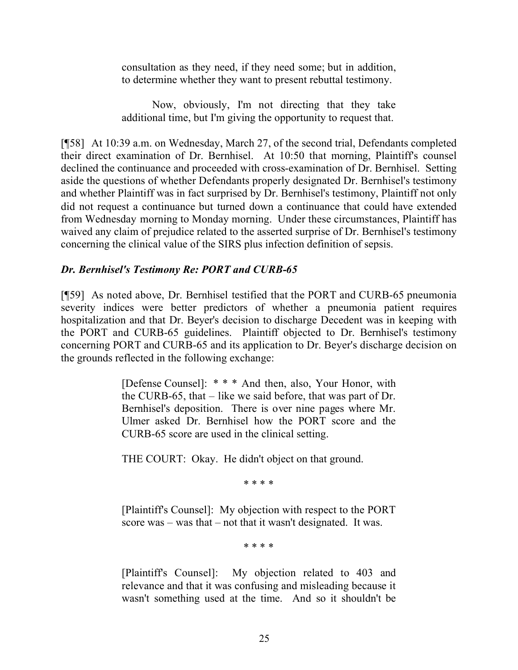consultation as they need, if they need some; but in addition, to determine whether they want to present rebuttal testimony.

Now, obviously, I'm not directing that they take additional time, but I'm giving the opportunity to request that.

[¶58] At 10:39 a.m. on Wednesday, March 27, of the second trial, Defendants completed their direct examination of Dr. Bernhisel. At 10:50 that morning, Plaintiff's counsel declined the continuance and proceeded with cross-examination of Dr. Bernhisel. Setting aside the questions of whether Defendants properly designated Dr. Bernhisel's testimony and whether Plaintiff was in fact surprised by Dr. Bernhisel's testimony, Plaintiff not only did not request a continuance but turned down a continuance that could have extended from Wednesday morning to Monday morning. Under these circumstances, Plaintiff has waived any claim of prejudice related to the asserted surprise of Dr. Bernhisel's testimony concerning the clinical value of the SIRS plus infection definition of sepsis.

### *Dr. Bernhisel's Testimony Re: PORT and CURB-65*

[¶59] As noted above, Dr. Bernhisel testified that the PORT and CURB-65 pneumonia severity indices were better predictors of whether a pneumonia patient requires hospitalization and that Dr. Beyer's decision to discharge Decedent was in keeping with the PORT and CURB-65 guidelines. Plaintiff objected to Dr. Bernhisel's testimony concerning PORT and CURB-65 and its application to Dr. Beyer's discharge decision on the grounds reflected in the following exchange:

> [Defense Counsel]: \* \* \* And then, also, Your Honor, with the CURB-65, that – like we said before, that was part of Dr. Bernhisel's deposition. There is over nine pages where Mr. Ulmer asked Dr. Bernhisel how the PORT score and the CURB-65 score are used in the clinical setting.

THE COURT: Okay. He didn't object on that ground.

\* \* \* \*

[Plaintiff's Counsel]: My objection with respect to the PORT score was – was that – not that it wasn't designated. It was.

\* \* \* \*

[Plaintiff's Counsel]: My objection related to 403 and relevance and that it was confusing and misleading because it wasn't something used at the time. And so it shouldn't be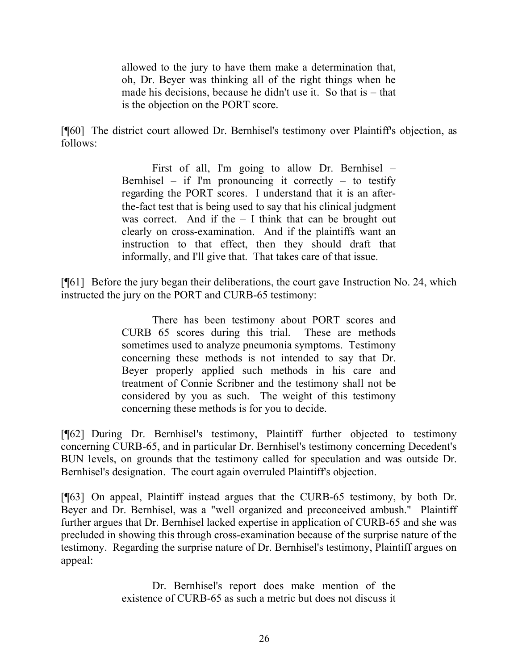allowed to the jury to have them make a determination that, oh, Dr. Beyer was thinking all of the right things when he made his decisions, because he didn't use it. So that is – that is the objection on the PORT score.

[¶60] The district court allowed Dr. Bernhisel's testimony over Plaintiff's objection, as follows:

> First of all, I'm going to allow Dr. Bernhisel – Bernhisel – if I'm pronouncing it correctly – to testify regarding the PORT scores. I understand that it is an afterthe-fact test that is being used to say that his clinical judgment was correct. And if the  $- I$  think that can be brought out clearly on cross-examination. And if the plaintiffs want an instruction to that effect, then they should draft that informally, and I'll give that. That takes care of that issue.

[¶61] Before the jury began their deliberations, the court gave Instruction No. 24, which instructed the jury on the PORT and CURB-65 testimony:

> There has been testimony about PORT scores and CURB 65 scores during this trial. These are methods sometimes used to analyze pneumonia symptoms. Testimony concerning these methods is not intended to say that Dr. Beyer properly applied such methods in his care and treatment of Connie Scribner and the testimony shall not be considered by you as such. The weight of this testimony concerning these methods is for you to decide.

[¶62] During Dr. Bernhisel's testimony, Plaintiff further objected to testimony concerning CURB-65, and in particular Dr. Bernhisel's testimony concerning Decedent's BUN levels, on grounds that the testimony called for speculation and was outside Dr. Bernhisel's designation. The court again overruled Plaintiff's objection.

[¶63] On appeal, Plaintiff instead argues that the CURB-65 testimony, by both Dr. Beyer and Dr. Bernhisel, was a "well organized and preconceived ambush." Plaintiff further argues that Dr. Bernhisel lacked expertise in application of CURB-65 and she was precluded in showing this through cross-examination because of the surprise nature of the testimony. Regarding the surprise nature of Dr. Bernhisel's testimony, Plaintiff argues on appeal:

> Dr. Bernhisel's report does make mention of the existence of CURB-65 as such a metric but does not discuss it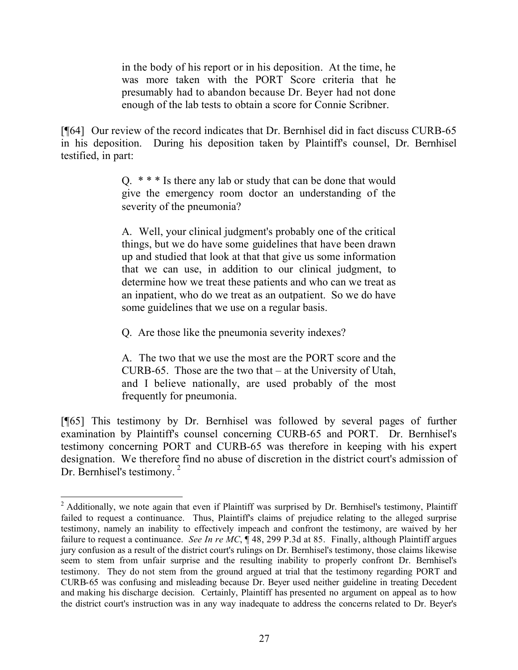in the body of his report or in his deposition. At the time, he was more taken with the PORT Score criteria that he presumably had to abandon because Dr. Beyer had not done enough of the lab tests to obtain a score for Connie Scribner.

[¶64] Our review of the record indicates that Dr. Bernhisel did in fact discuss CURB-65 in his deposition. During his deposition taken by Plaintiff's counsel, Dr. Bernhisel testified, in part:

> Q. \* \* \* Is there any lab or study that can be done that would give the emergency room doctor an understanding of the severity of the pneumonia?

> A. Well, your clinical judgment's probably one of the critical things, but we do have some guidelines that have been drawn up and studied that look at that that give us some information that we can use, in addition to our clinical judgment, to determine how we treat these patients and who can we treat as an inpatient, who do we treat as an outpatient. So we do have some guidelines that we use on a regular basis.

Q. Are those like the pneumonia severity indexes?

A. The two that we use the most are the PORT score and the CURB-65. Those are the two that – at the University of Utah, and I believe nationally, are used probably of the most frequently for pneumonia.

[¶65] This testimony by Dr. Bernhisel was followed by several pages of further examination by Plaintiff's counsel concerning CURB-65 and PORT. Dr. Bernhisel's testimony concerning PORT and CURB-65 was therefore in keeping with his expert designation. We therefore find no abuse of discretion in the district court's admission of Dr. Bernhisel's testimony.<sup>2</sup>

 $2$  Additionally, we note again that even if Plaintiff was surprised by Dr. Bernhisel's testimony, Plaintiff failed to request a continuance. Thus, Plaintiff's claims of prejudice relating to the alleged surprise testimony, namely an inability to effectively impeach and confront the testimony, are waived by her failure to request a continuance. *See In re MC*, ¶ 48, 299 P.3d at 85. Finally, although Plaintiff argues jury confusion as a result of the district court's rulings on Dr. Bernhisel's testimony, those claims likewise seem to stem from unfair surprise and the resulting inability to properly confront Dr. Bernhisel's testimony. They do not stem from the ground argued at trial that the testimony regarding PORT and CURB-65 was confusing and misleading because Dr. Beyer used neither guideline in treating Decedent and making his discharge decision. Certainly, Plaintiff has presented no argument on appeal as to how the district court's instruction was in any way inadequate to address the concerns related to Dr. Beyer's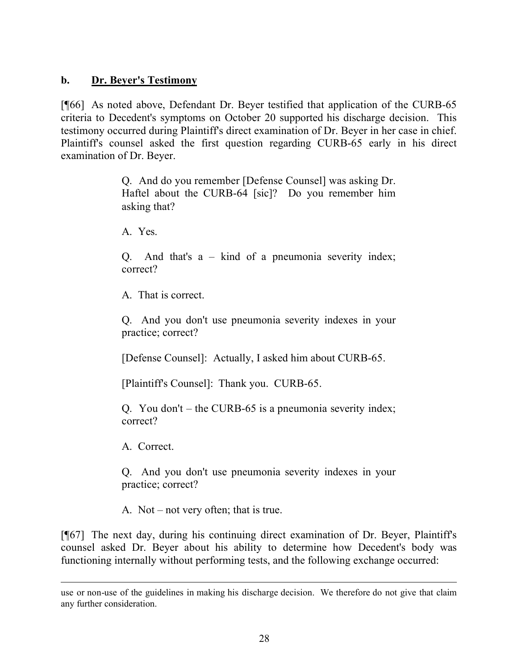### **b. Dr. Beyer's Testimony**

[¶66] As noted above, Defendant Dr. Beyer testified that application of the CURB-65 criteria to Decedent's symptoms on October 20 supported his discharge decision. This testimony occurred during Plaintiff's direct examination of Dr. Beyer in her case in chief. Plaintiff's counsel asked the first question regarding CURB-65 early in his direct examination of Dr. Beyer.

> Q. And do you remember [Defense Counsel] was asking Dr. Haftel about the CURB-64 [sic]? Do you remember him asking that?

A. Yes.

Q. And that's a – kind of a pneumonia severity index; correct?

A. That is correct.

Q. And you don't use pneumonia severity indexes in your practice; correct?

[Defense Counsel]: Actually, I asked him about CURB-65.

[Plaintiff's Counsel]: Thank you. CURB-65.

Q. You don't – the CURB-65 is a pneumonia severity index; correct?

A. Correct.

Q. And you don't use pneumonia severity indexes in your practice; correct?

A. Not – not very often; that is true.

[¶67] The next day, during his continuing direct examination of Dr. Beyer, Plaintiff's counsel asked Dr. Beyer about his ability to determine how Decedent's body was functioning internally without performing tests, and the following exchange occurred:

use or non-use of the guidelines in making his discharge decision. We therefore do not give that claim any further consideration.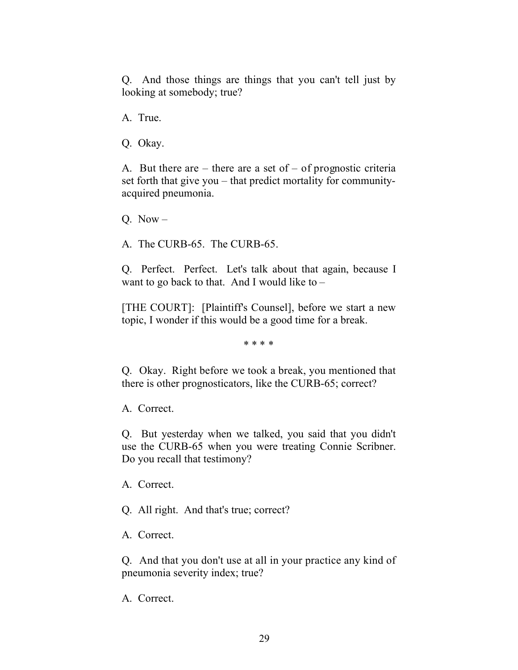Q. And those things are things that you can't tell just by looking at somebody; true?

A. True.

Q. Okay.

A. But there are – there are a set of – of prognostic criteria set forth that give you – that predict mortality for communityacquired pneumonia.

Q. Now  $-$ 

A. The CURB-65. The CURB-65.

Q. Perfect. Perfect. Let's talk about that again, because I want to go back to that. And I would like to  $-$ 

[THE COURT]: [Plaintiff's Counsel], before we start a new topic, I wonder if this would be a good time for a break.

\* \* \* \*

Q. Okay. Right before we took a break, you mentioned that there is other prognosticators, like the CURB-65; correct?

A. Correct.

Q. But yesterday when we talked, you said that you didn't use the CURB-65 when you were treating Connie Scribner. Do you recall that testimony?

A. Correct.

Q. All right. And that's true; correct?

A. Correct.

Q. And that you don't use at all in your practice any kind of pneumonia severity index; true?

A. Correct.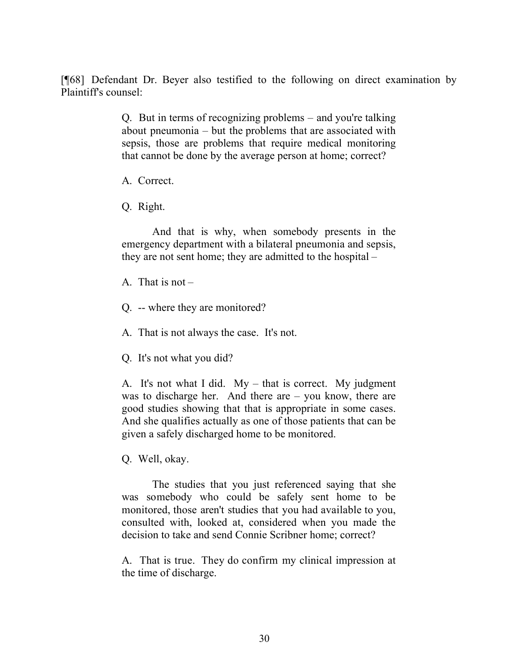[¶68] Defendant Dr. Beyer also testified to the following on direct examination by Plaintiff's counsel:

> Q. But in terms of recognizing problems – and you're talking about pneumonia – but the problems that are associated with sepsis, those are problems that require medical monitoring that cannot be done by the average person at home; correct?

A. Correct.

Q. Right.

And that is why, when somebody presents in the emergency department with a bilateral pneumonia and sepsis, they are not sent home; they are admitted to the hospital –

A. That is not –

- Q. -- where they are monitored?
- A. That is not always the case. It's not.

Q. It's not what you did?

A. It's not what I did. My – that is correct. My judgment was to discharge her. And there are – you know, there are good studies showing that that is appropriate in some cases. And she qualifies actually as one of those patients that can be given a safely discharged home to be monitored.

Q. Well, okay.

The studies that you just referenced saying that she was somebody who could be safely sent home to be monitored, those aren't studies that you had available to you, consulted with, looked at, considered when you made the decision to take and send Connie Scribner home; correct?

A. That is true. They do confirm my clinical impression at the time of discharge.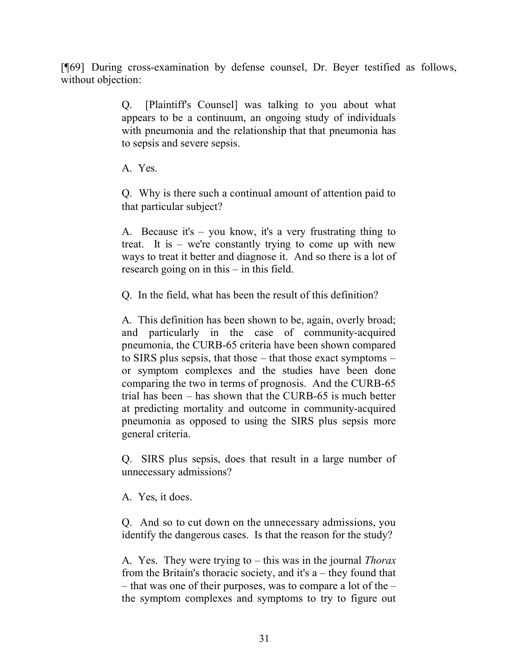[¶69] During cross-examination by defense counsel, Dr. Beyer testified as follows, without objection:

> Q. [Plaintiff's Counsel] was talking to you about what appears to be a continuum, an ongoing study of individuals with pneumonia and the relationship that that pneumonia has to sepsis and severe sepsis.

A. Yes.

Q. Why is there such a continual amount of attention paid to that particular subject?

A. Because it's – you know, it's a very frustrating thing to treat. It is – we're constantly trying to come up with new ways to treat it better and diagnose it. And so there is a lot of research going on in this – in this field.

Q. In the field, what has been the result of this definition?

A. This definition has been shown to be, again, overly broad; and particularly in the case of community-acquired pneumonia, the CURB-65 criteria have been shown compared to SIRS plus sepsis, that those – that those exact symptoms – or symptom complexes and the studies have been done comparing the two in terms of prognosis. And the CURB-65 trial has been – has shown that the CURB-65 is much better at predicting mortality and outcome in community-acquired pneumonia as opposed to using the SIRS plus sepsis more general criteria.

Q. SIRS plus sepsis, does that result in a large number of unnecessary admissions?

A. Yes, it does.

Q. And so to cut down on the unnecessary admissions, you identify the dangerous cases. Is that the reason for the study?

A. Yes. They were trying to – this was in the journal *Thorax* from the Britain's thoracic society, and it's a – they found that – that was one of their purposes, was to compare a lot of the – the symptom complexes and symptoms to try to figure out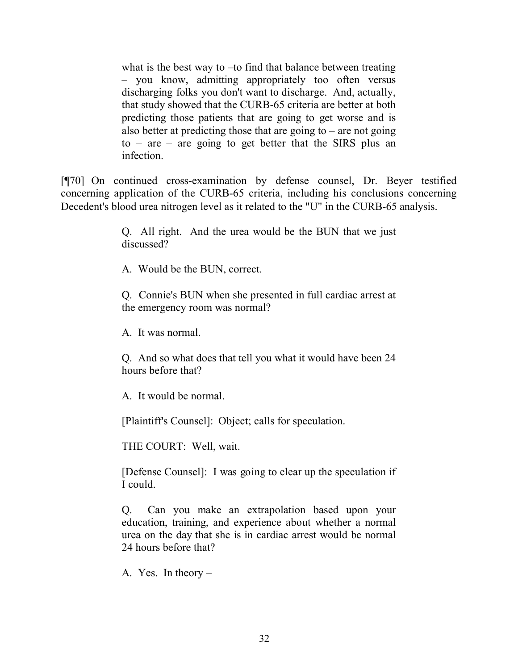what is the best way to –to find that balance between treating – you know, admitting appropriately too often versus discharging folks you don't want to discharge. And, actually, that study showed that the CURB-65 criteria are better at both predicting those patients that are going to get worse and is also better at predicting those that are going to  $-$  are not going  $to -$  are – are going to get better that the SIRS plus an infection.

[¶70] On continued cross-examination by defense counsel, Dr. Beyer testified concerning application of the CURB-65 criteria, including his conclusions concerning Decedent's blood urea nitrogen level as it related to the "U" in the CURB-65 analysis.

> Q. All right. And the urea would be the BUN that we just discussed?

A. Would be the BUN, correct.

Q. Connie's BUN when she presented in full cardiac arrest at the emergency room was normal?

A. It was normal.

Q. And so what does that tell you what it would have been 24 hours before that?

A. It would be normal.

[Plaintiff's Counsel]: Object; calls for speculation.

THE COURT: Well, wait.

[Defense Counsel]: I was going to clear up the speculation if I could.

Q. Can you make an extrapolation based upon your education, training, and experience about whether a normal urea on the day that she is in cardiac arrest would be normal 24 hours before that?

A. Yes. In theory –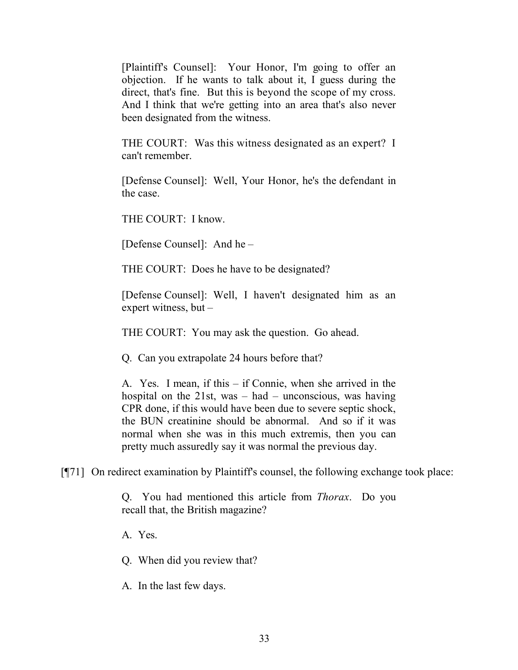[Plaintiff's Counsel]: Your Honor, I'm going to offer an objection. If he wants to talk about it, I guess during the direct, that's fine. But this is beyond the scope of my cross. And I think that we're getting into an area that's also never been designated from the witness.

THE COURT: Was this witness designated as an expert? I can't remember.

[Defense Counsel]: Well, Your Honor, he's the defendant in the case.

THE COURT: I know.

[Defense Counsel]: And he –

THE COURT: Does he have to be designated?

[Defense Counsel]: Well, I haven't designated him as an expert witness, but –

THE COURT: You may ask the question. Go ahead.

Q. Can you extrapolate 24 hours before that?

A. Yes. I mean, if this – if Connie, when she arrived in the hospital on the  $21st$ , was – had – unconscious, was having CPR done, if this would have been due to severe septic shock, the BUN creatinine should be abnormal. And so if it was normal when she was in this much extremis, then you can pretty much assuredly say it was normal the previous day.

[¶71] On redirect examination by Plaintiff's counsel, the following exchange took place:

Q. You had mentioned this article from *Thorax*. Do you recall that, the British magazine?

A. Yes.

Q. When did you review that?

A. In the last few days.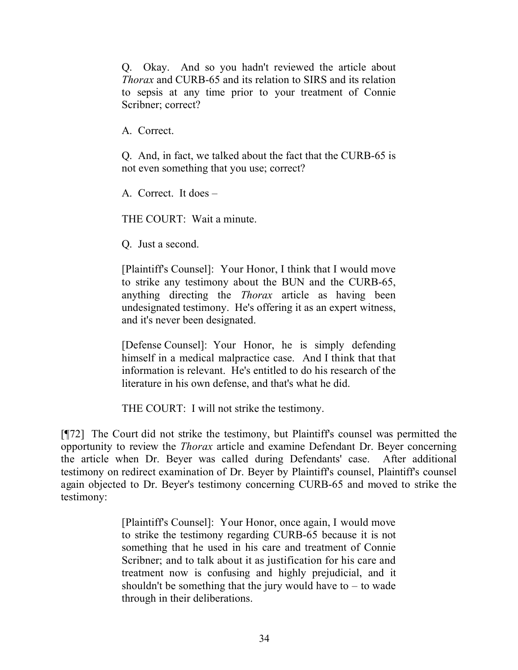Q. Okay. And so you hadn't reviewed the article about *Thorax* and CURB-65 and its relation to SIRS and its relation to sepsis at any time prior to your treatment of Connie Scribner; correct?

A. Correct.

Q. And, in fact, we talked about the fact that the CURB-65 is not even something that you use; correct?

A. Correct. It does –

THE COURT: Wait a minute.

Q. Just a second.

[Plaintiff's Counsel]: Your Honor, I think that I would move to strike any testimony about the BUN and the CURB-65, anything directing the *Thorax* article as having been undesignated testimony. He's offering it as an expert witness, and it's never been designated.

[Defense Counsel]: Your Honor, he is simply defending himself in a medical malpractice case. And I think that that information is relevant. He's entitled to do his research of the literature in his own defense, and that's what he did.

THE COURT: I will not strike the testimony.

[¶72] The Court did not strike the testimony, but Plaintiff's counsel was permitted the opportunity to review the *Thorax* article and examine Defendant Dr. Beyer concerning the article when Dr. Beyer was called during Defendants' case. After additional testimony on redirect examination of Dr. Beyer by Plaintiff's counsel, Plaintiff's counsel again objected to Dr. Beyer's testimony concerning CURB-65 and moved to strike the testimony:

> [Plaintiff's Counsel]: Your Honor, once again, I would move to strike the testimony regarding CURB-65 because it is not something that he used in his care and treatment of Connie Scribner; and to talk about it as justification for his care and treatment now is confusing and highly prejudicial, and it shouldn't be something that the jury would have to  $-$  to wade through in their deliberations.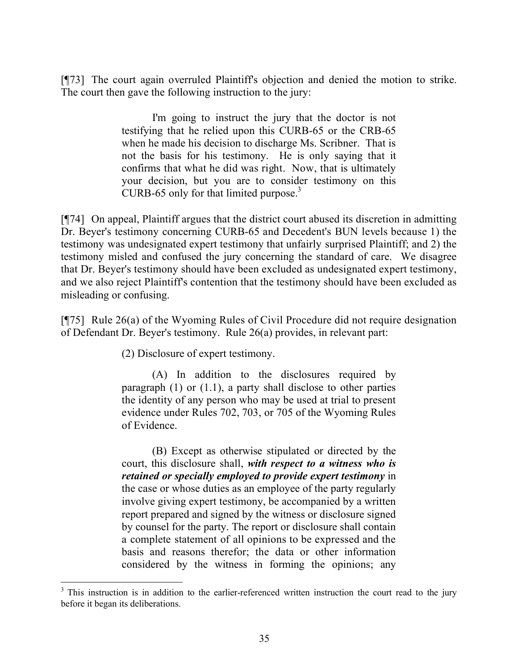[¶73] The court again overruled Plaintiff's objection and denied the motion to strike. The court then gave the following instruction to the jury:

> I'm going to instruct the jury that the doctor is not testifying that he relied upon this CURB-65 or the CRB-65 when he made his decision to discharge Ms. Scribner. That is not the basis for his testimony. He is only saying that it confirms that what he did was right. Now, that is ultimately your decision, but you are to consider testimony on this CURB-65 only for that limited purpose. $\frac{3}{2}$

[¶74] On appeal, Plaintiff argues that the district court abused its discretion in admitting Dr. Beyer's testimony concerning CURB-65 and Decedent's BUN levels because 1) the testimony was undesignated expert testimony that unfairly surprised Plaintiff; and 2) the testimony misled and confused the jury concerning the standard of care. We disagree that Dr. Beyer's testimony should have been excluded as undesignated expert testimony, and we also reject Plaintiff's contention that the testimony should have been excluded as misleading or confusing.

[¶75] Rule 26(a) of the Wyoming Rules of Civil Procedure did not require designation of Defendant Dr. Beyer's testimony. Rule 26(a) provides, in relevant part:

(2) Disclosure of expert testimony.

(A) In addition to the disclosures required by paragraph  $(1)$  or  $(1,1)$ , a party shall disclose to other parties the identity of any person who may be used at trial to present evidence under Rules 702, 703, or 705 of the Wyoming Rules of Evidence.

(B) Except as otherwise stipulated or directed by the court, this disclosure shall, *with respect to a witness who is retained or specially employed to provide expert testimony* in the case or whose duties as an employee of the party regularly involve giving expert testimony, be accompanied by a written report prepared and signed by the witness or disclosure signed by counsel for the party. The report or disclosure shall contain a complete statement of all opinions to be expressed and the basis and reasons therefor; the data or other information considered by the witness in forming the opinions; any

 $3$  This instruction is in addition to the earlier-referenced written instruction the court read to the jury before it began its deliberations.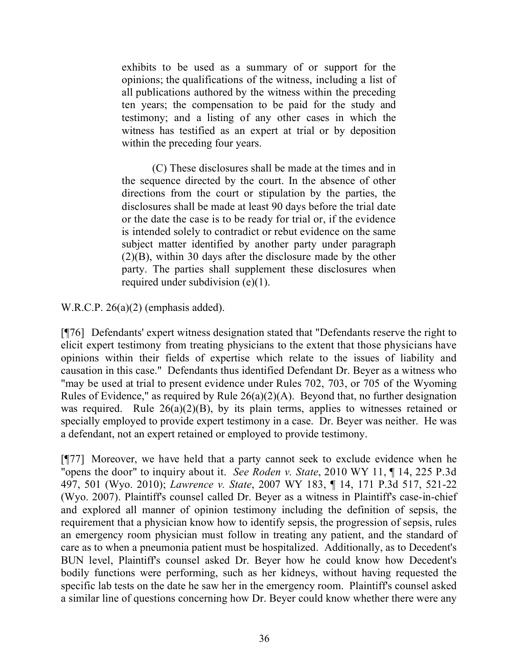exhibits to be used as a summary of or support for the opinions; the qualifications of the witness, including a list of all publications authored by the witness within the preceding ten years; the compensation to be paid for the study and testimony; and a listing of any other cases in which the witness has testified as an expert at trial or by deposition within the preceding four years.

(C) These disclosures shall be made at the times and in the sequence directed by the court. In the absence of other directions from the court or stipulation by the parties, the disclosures shall be made at least 90 days before the trial date or the date the case is to be ready for trial or, if the evidence is intended solely to contradict or rebut evidence on the same subject matter identified by another party under paragraph (2)(B), within 30 days after the disclosure made by the other party. The parties shall supplement these disclosures when required under subdivision (e)(1).

W.R.C.P. 26(a)(2) (emphasis added).

[¶76] Defendants' expert witness designation stated that "Defendants reserve the right to elicit expert testimony from treating physicians to the extent that those physicians have opinions within their fields of expertise which relate to the issues of liability and causation in this case." Defendants thus identified Defendant Dr. Beyer as a witness who "may be used at trial to present evidence under Rules 702, 703, or 705 of the Wyoming Rules of Evidence," as required by Rule 26(a)(2)(A). Beyond that, no further designation was required. Rule  $26(a)(2)(B)$ , by its plain terms, applies to witnesses retained or specially employed to provide expert testimony in a case. Dr. Beyer was neither. He was a defendant, not an expert retained or employed to provide testimony.

[¶77] Moreover, we have held that a party cannot seek to exclude evidence when he "opens the door" to inquiry about it. *See Roden v. State*, 2010 WY 11, ¶ 14, 225 P.3d 497, 501 (Wyo. 2010); *Lawrence v. State*, 2007 WY 183, ¶ 14, 171 P.3d 517, 521-22 (Wyo. 2007). Plaintiff's counsel called Dr. Beyer as a witness in Plaintiff's case-in-chief and explored all manner of opinion testimony including the definition of sepsis, the requirement that a physician know how to identify sepsis, the progression of sepsis, rules an emergency room physician must follow in treating any patient, and the standard of care as to when a pneumonia patient must be hospitalized. Additionally, as to Decedent's BUN level, Plaintiff's counsel asked Dr. Beyer how he could know how Decedent's bodily functions were performing, such as her kidneys, without having requested the specific lab tests on the date he saw her in the emergency room. Plaintiff's counsel asked a similar line of questions concerning how Dr. Beyer could know whether there were any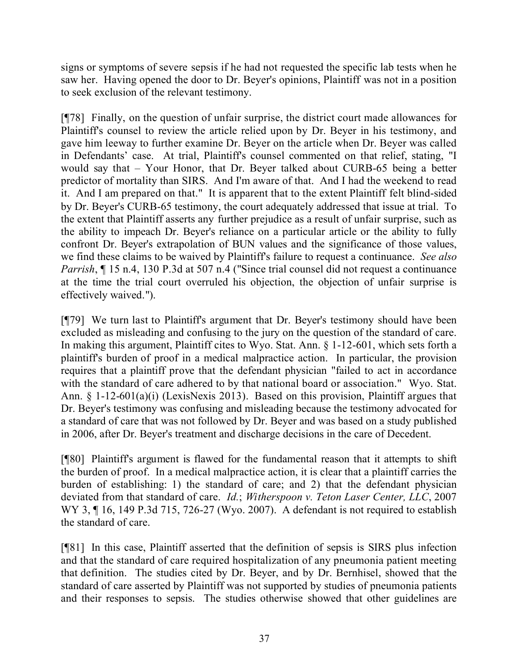signs or symptoms of severe sepsis if he had not requested the specific lab tests when he saw her. Having opened the door to Dr. Beyer's opinions, Plaintiff was not in a position to seek exclusion of the relevant testimony.

[¶78] Finally, on the question of unfair surprise, the district court made allowances for Plaintiff's counsel to review the article relied upon by Dr. Beyer in his testimony, and gave him leeway to further examine Dr. Beyer on the article when Dr. Beyer was called in Defendants' case. At trial, Plaintiff's counsel commented on that relief, stating, "I would say that – Your Honor, that Dr. Beyer talked about CURB-65 being a better predictor of mortality than SIRS. And I'm aware of that. And I had the weekend to read it. And I am prepared on that." It is apparent that to the extent Plaintiff felt blind-sided by Dr. Beyer's CURB-65 testimony, the court adequately addressed that issue at trial. To the extent that Plaintiff asserts any further prejudice as a result of unfair surprise, such as the ability to impeach Dr. Beyer's reliance on a particular article or the ability to fully confront Dr. Beyer's extrapolation of BUN values and the significance of those values, we find these claims to be waived by Plaintiff's failure to request a continuance. *See also Parrish*,  $\P$  15 n.4, 130 P.3d at 507 n.4 ("Since trial counsel did not request a continuance at the time the trial court overruled his objection, the objection of unfair surprise is effectively waived.").

[¶79] We turn last to Plaintiff's argument that Dr. Beyer's testimony should have been excluded as misleading and confusing to the jury on the question of the standard of care. In making this argument, Plaintiff cites to Wyo. Stat. Ann. § 1-12-601, which sets forth a plaintiff's burden of proof in a medical malpractice action. In particular, the provision requires that a plaintiff prove that the defendant physician "failed to act in accordance with the standard of care adhered to by that national board or association." Wyo. Stat. Ann. § 1-12-601(a)(i) (LexisNexis 2013). Based on this provision, Plaintiff argues that Dr. Beyer's testimony was confusing and misleading because the testimony advocated for a standard of care that was not followed by Dr. Beyer and was based on a study published in 2006, after Dr. Beyer's treatment and discharge decisions in the care of Decedent.

[¶80] Plaintiff's argument is flawed for the fundamental reason that it attempts to shift the burden of proof. In a medical malpractice action, it is clear that a plaintiff carries the burden of establishing: 1) the standard of care; and 2) that the defendant physician deviated from that standard of care. *Id.*; *Witherspoon v. Teton Laser Center, LLC*, 2007 WY 3, ¶ 16, 149 P.3d 715, 726-27 (Wyo. 2007). A defendant is not required to establish the standard of care.

[¶81] In this case, Plaintiff asserted that the definition of sepsis is SIRS plus infection and that the standard of care required hospitalization of any pneumonia patient meeting that definition. The studies cited by Dr. Beyer, and by Dr. Bernhisel, showed that the standard of care asserted by Plaintiff was not supported by studies of pneumonia patients and their responses to sepsis. The studies otherwise showed that other guidelines are